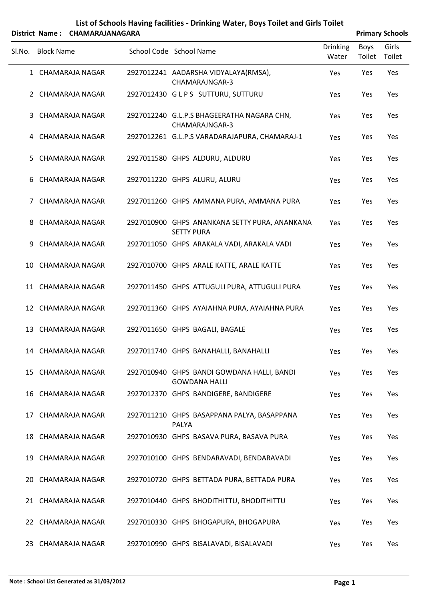|        |                   | District Name: CHAMARAJANAGARA |                                                                    |                          |                | <b>Primary Schools</b> |
|--------|-------------------|--------------------------------|--------------------------------------------------------------------|--------------------------|----------------|------------------------|
| Sl.No. | <b>Block Name</b> |                                | School Code School Name                                            | <b>Drinking</b><br>Water | Boys<br>Toilet | Girls<br>Toilet        |
|        |                   | 1 CHAMARAJA NAGAR              | 2927012241 AADARSHA VIDYALAYA(RMSA),<br>CHAMARAJNGAR-3             | Yes                      | Yes            | Yes                    |
|        |                   | 2 CHAMARAJA NAGAR              | 2927012430 GLPS SUTTURU, SUTTURU                                   | Yes                      | Yes            | Yes                    |
| 3      |                   | CHAMARAJA NAGAR                | 2927012240 G.L.P.S BHAGEERATHA NAGARA CHN,<br>CHAMARAJNGAR-3       | Yes                      | Yes            | Yes                    |
|        |                   | 4 CHAMARAJA NAGAR              | 2927012261 G.L.P.S VARADARAJAPURA, CHAMARAJ-1                      | Yes                      | Yes            | Yes                    |
| 5.     |                   | <b>CHAMARAJA NAGAR</b>         | 2927011580 GHPS ALDURU, ALDURU                                     | Yes                      | Yes            | Yes                    |
| 6      |                   | <b>CHAMARAJA NAGAR</b>         | 2927011220 GHPS ALURU, ALURU                                       | Yes                      | Yes            | Yes                    |
| 7      |                   | CHAMARAJA NAGAR                | 2927011260 GHPS AMMANA PURA, AMMANA PURA                           | Yes                      | Yes            | Yes                    |
| 8      |                   | CHAMARAJA NAGAR                | 2927010900 GHPS ANANKANA SETTY PURA, ANANKANA<br><b>SETTY PURA</b> | Yes                      | Yes            | Yes                    |
| 9      |                   | <b>CHAMARAJA NAGAR</b>         | 2927011050 GHPS ARAKALA VADI, ARAKALA VADI                         | Yes                      | Yes            | Yes                    |
| 10     |                   | <b>CHAMARAJA NAGAR</b>         | 2927010700 GHPS ARALE KATTE, ARALE KATTE                           | Yes                      | Yes            | Yes                    |
|        |                   | 11 CHAMARAJA NAGAR             | 2927011450 GHPS ATTUGULI PURA, ATTUGULI PURA                       | Yes                      | Yes            | Yes                    |
|        |                   | 12 CHAMARAJA NAGAR             | 2927011360 GHPS AYAIAHNA PURA, AYAIAHNA PURA                       | Yes                      | Yes            | Yes                    |
|        |                   | 13 CHAMARAJA NAGAR             | 2927011650 GHPS BAGALI, BAGALE                                     | Yes                      | Yes            | Yes                    |
|        |                   | 14 CHAMARAJA NAGAR             | 2927011740 GHPS BANAHALLI, BANAHALLI                               | Yes                      | Yes            | Yes                    |
|        |                   | 15 CHAMARAJA NAGAR             | 2927010940 GHPS BANDI GOWDANA HALLI, BANDI<br><b>GOWDANA HALLI</b> | Yes                      | Yes            | Yes                    |
|        |                   | 16 CHAMARAJA NAGAR             | 2927012370 GHPS BANDIGERE, BANDIGERE                               | Yes                      | Yes            | Yes                    |
|        |                   | 17 CHAMARAJA NAGAR             | 2927011210 GHPS BASAPPANA PALYA, BASAPPANA<br><b>PALYA</b>         | Yes                      | Yes            | Yes                    |
|        |                   | 18 CHAMARAJA NAGAR             | 2927010930 GHPS BASAVA PURA, BASAVA PURA                           | Yes                      | Yes            | Yes                    |
|        |                   | 19 CHAMARAJA NAGAR             | 2927010100 GHPS BENDARAVADI, BENDARAVADI                           | Yes                      | Yes            | Yes                    |
|        |                   | 20 CHAMARAJA NAGAR             | 2927010720 GHPS BETTADA PURA, BETTADA PURA                         | Yes                      | Yes            | Yes                    |
|        |                   | 21 CHAMARAJA NAGAR             | 2927010440 GHPS BHODITHITTU, BHODITHITTU                           | Yes                      | Yes            | Yes                    |
|        |                   | 22 CHAMARAJA NAGAR             | 2927010330 GHPS BHOGAPURA, BHOGAPURA                               | Yes                      | Yes            | Yes                    |
|        |                   | 23 CHAMARAJA NAGAR             | 2927010990 GHPS BISALAVADI, BISALAVADI                             | Yes                      | Yes            | Yes                    |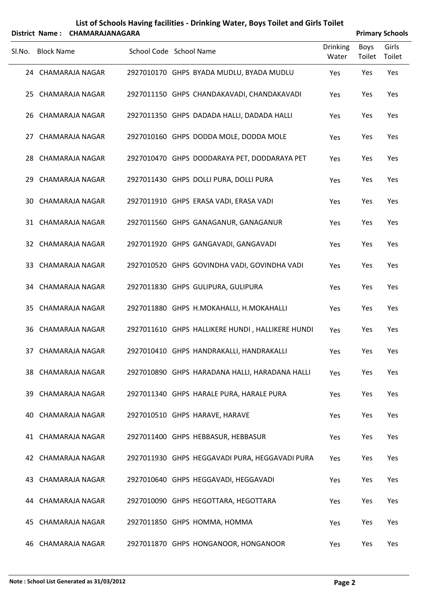|        |            | District Name: CHAMARAJANAGARA |                         |                                                  |                          |                       | <b>Primary Schools</b> |
|--------|------------|--------------------------------|-------------------------|--------------------------------------------------|--------------------------|-----------------------|------------------------|
| Sl.No. | Block Name |                                | School Code School Name |                                                  | <b>Drinking</b><br>Water | <b>Boys</b><br>Toilet | Girls<br>Toilet        |
|        |            | 24 CHAMARAJA NAGAR             |                         | 2927010170 GHPS BYADA MUDLU, BYADA MUDLU         | Yes                      | Yes                   | Yes                    |
|        |            | 25 CHAMARAJA NAGAR             |                         | 2927011150 GHPS CHANDAKAVADI, CHANDAKAVADI       | Yes                      | Yes                   | Yes                    |
|        |            | 26 CHAMARAJA NAGAR             |                         | 2927011350 GHPS DADADA HALLI, DADADA HALLI       | <b>Yes</b>               | Yes                   | Yes                    |
|        |            | 27 CHAMARAJA NAGAR             |                         | 2927010160 GHPS DODDA MOLE, DODDA MOLE           | Yes                      | Yes                   | Yes                    |
|        |            | 28 CHAMARAJA NAGAR             |                         | 2927010470 GHPS DODDARAYA PET, DODDARAYA PET     | Yes                      | Yes                   | Yes                    |
| 29.    |            | CHAMARAJA NAGAR                |                         | 2927011430 GHPS DOLLI PURA, DOLLI PURA           | Yes                      | Yes                   | Yes                    |
|        |            | 30 CHAMARAJA NAGAR             |                         | 2927011910 GHPS ERASA VADI, ERASA VADI           | Yes                      | Yes                   | Yes                    |
|        |            | 31 CHAMARAJA NAGAR             |                         | 2927011560 GHPS GANAGANUR, GANAGANUR             | Yes                      | Yes                   | Yes                    |
|        |            | 32 CHAMARAJA NAGAR             |                         | 2927011920 GHPS GANGAVADI, GANGAVADI             | Yes                      | Yes                   | Yes                    |
|        |            | 33 CHAMARAJA NAGAR             |                         | 2927010520 GHPS GOVINDHA VADI, GOVINDHA VADI     | Yes                      | Yes                   | Yes                    |
|        |            | 34 CHAMARAJA NAGAR             |                         | 2927011830 GHPS GULIPURA, GULIPURA               | Yes                      | Yes                   | Yes                    |
|        |            | 35 CHAMARAJA NAGAR             |                         | 2927011880 GHPS H.MOKAHALLI, H.MOKAHALLI         | Yes                      | Yes                   | Yes                    |
|        |            | 36 CHAMARAJA NAGAR             |                         | 2927011610 GHPS HALLIKERE HUNDI, HALLIKERE HUNDI | Yes                      | Yes                   | Yes                    |
|        |            | 37 CHAMARAJA NAGAR             |                         | 2927010410 GHPS HANDRAKALLI, HANDRAKALLI         | Yes                      | Yes                   | Yes                    |
|        |            | 38 CHAMARAJA NAGAR             |                         | 2927010890 GHPS HARADANA HALLI, HARADANA HALLI   | Yes                      | Yes                   | Yes                    |
|        |            | 39 CHAMARAJA NAGAR             |                         | 2927011340 GHPS HARALE PURA, HARALE PURA         | Yes                      | Yes                   | Yes                    |
| 40.    |            | <b>CHAMARAJA NAGAR</b>         |                         | 2927010510 GHPS HARAVE, HARAVE                   | Yes                      | Yes                   | Yes                    |
|        |            | 41 CHAMARAJA NAGAR             |                         | 2927011400 GHPS HEBBASUR, HEBBASUR               | Yes                      | Yes                   | Yes                    |
|        |            | 42 CHAMARAJA NAGAR             |                         | 2927011930 GHPS HEGGAVADI PURA, HEGGAVADI PURA   | Yes                      | Yes                   | Yes                    |
|        |            | 43 CHAMARAJA NAGAR             |                         | 2927010640 GHPS HEGGAVADI, HEGGAVADI             | Yes                      | Yes                   | Yes                    |
|        |            | 44 CHAMARAJA NAGAR             |                         | 2927010090 GHPS HEGOTTARA, HEGOTTARA             | Yes                      | Yes                   | Yes                    |
|        |            | 45 CHAMARAJA NAGAR             |                         | 2927011850 GHPS HOMMA, HOMMA                     | Yes                      | Yes                   | Yes                    |
|        |            | 46 CHAMARAJA NAGAR             |                         | 2927011870 GHPS HONGANOOR, HONGANOOR             | Yes                      | Yes                   | Yes                    |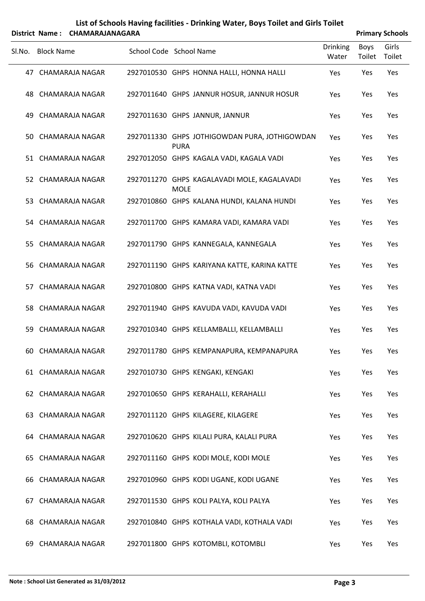### **List of Schools Having facilities ‐ Drinking Water, Boys Toilet and Girls Toilet District Name: CHAMARAJANAGARA Primary** Schools

|     | Sl.No. Block Name      | School Code School Name                                      | <b>Drinking</b><br>Water | <b>Boys</b><br>Toilet | Girls<br>Toilet |
|-----|------------------------|--------------------------------------------------------------|--------------------------|-----------------------|-----------------|
|     | 47 CHAMARAJA NAGAR     | 2927010530 GHPS HONNA HALLI, HONNA HALLI                     | Yes                      | Yes                   | Yes             |
|     | 48 CHAMARAJA NAGAR     | 2927011640 GHPS JANNUR HOSUR, JANNUR HOSUR                   | Yes                      | Yes                   | Yes             |
|     | 49 CHAMARAJA NAGAR     | 2927011630 GHPS JANNUR, JANNUR                               | Yes                      | Yes                   | Yes             |
|     | 50 CHAMARAJA NAGAR     | 2927011330 GHPS JOTHIGOWDAN PURA, JOTHIGOWDAN<br><b>PURA</b> | Yes                      | Yes                   | Yes             |
|     | 51 CHAMARAJA NAGAR     | 2927012050 GHPS KAGALA VADI, KAGALA VADI                     | Yes                      | Yes                   | Yes             |
|     | 52 CHAMARAJA NAGAR     | 2927011270 GHPS KAGALAVADI MOLE, KAGALAVADI<br><b>MOLE</b>   | Yes                      | Yes                   | Yes             |
|     | 53 CHAMARAJA NAGAR     | 2927010860 GHPS KALANA HUNDI, KALANA HUNDI                   | Yes                      | Yes                   | Yes             |
|     | 54 CHAMARAJA NAGAR     | 2927011700 GHPS KAMARA VADI, KAMARA VADI                     | Yes                      | Yes                   | Yes             |
|     | 55 CHAMARAJA NAGAR     | 2927011790 GHPS KANNEGALA, KANNEGALA                         | Yes                      | Yes                   | Yes             |
|     | 56 CHAMARAJA NAGAR     | 2927011190 GHPS KARIYANA KATTE, KARINA KATTE                 | Yes                      | Yes                   | Yes             |
|     | 57 CHAMARAJA NAGAR     | 2927010800 GHPS KATNA VADI, KATNA VADI                       | Yes                      | Yes                   | Yes             |
|     | 58 CHAMARAJA NAGAR     | 2927011940 GHPS KAVUDA VADI, KAVUDA VADI                     | Yes                      | Yes                   | Yes             |
|     | 59 CHAMARAJA NAGAR     | 2927010340 GHPS KELLAMBALLI, KELLAMBALLI                     | Yes                      | Yes                   | Yes             |
|     | 60 CHAMARAJA NAGAR     | 2927011780 GHPS KEMPANAPURA, KEMPANAPURA                     | Yes                      | Yes                   | Yes             |
|     | 61 CHAMARAJA NAGAR     | 2927010730 GHPS KENGAKI, KENGAKI                             | Yes                      | Yes                   | Yes             |
|     | 62 CHAMARAJA NAGAR     | 2927010650 GHPS KERAHALLI, KERAHALLI                         | Yes                      | Yes                   | Yes             |
|     | 63 CHAMARAJA NAGAR     | 2927011120 GHPS KILAGERE, KILAGERE                           | Yes                      | Yes                   | Yes             |
|     | 64 CHAMARAJA NAGAR     | 2927010620 GHPS KILALI PURA, KALALI PURA                     | Yes                      | Yes                   | Yes             |
|     | 65 CHAMARAJA NAGAR     | 2927011160 GHPS KODI MOLE, KODI MOLE                         | Yes                      | Yes                   | Yes             |
|     | 66 CHAMARAJA NAGAR     | 2927010960 GHPS KODI UGANE, KODI UGANE                       | Yes                      | Yes                   | Yes             |
| 67. | <b>CHAMARAJA NAGAR</b> | 2927011530 GHPS KOLI PALYA, KOLI PALYA                       | Yes                      | Yes                   | Yes             |
|     | 68 CHAMARAJA NAGAR     | 2927010840 GHPS KOTHALA VADI, KOTHALA VADI                   | Yes                      | Yes                   | Yes             |
|     | 69 CHAMARAJA NAGAR     | 2927011800 GHPS KOTOMBLI, KOTOMBLI                           | Yes                      | Yes                   | Yes             |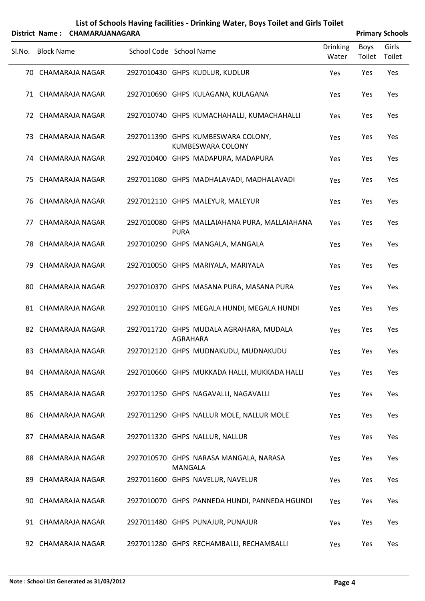|        |                   | District Name: CHAMARAJANAGARA |                                                                |                          |                | <b>Primary Schools</b> |
|--------|-------------------|--------------------------------|----------------------------------------------------------------|--------------------------|----------------|------------------------|
| SI.No. | <b>Block Name</b> |                                | School Code School Name                                        | <b>Drinking</b><br>Water | Boys<br>Toilet | Girls<br>Toilet        |
|        |                   | 70 CHAMARAJA NAGAR             | 2927010430 GHPS KUDLUR, KUDLUR                                 | Yes                      | Yes            | Yes                    |
|        |                   | 71 CHAMARAJA NAGAR             | 2927010690 GHPS KULAGANA, KULAGANA                             | Yes                      | Yes            | Yes                    |
|        |                   | 72 CHAMARAJA NAGAR             | 2927010740 GHPS KUMACHAHALLI, KUMACHAHALLI                     | Yes                      | Yes            | Yes                    |
|        |                   | 73 CHAMARAJA NAGAR             | 2927011390 GHPS KUMBESWARA COLONY,<br><b>KUMBESWARA COLONY</b> | Yes                      | Yes            | Yes                    |
|        |                   | 74 CHAMARAJA NAGAR             | 2927010400 GHPS MADAPURA, MADAPURA                             | Yes                      | Yes            | Yes                    |
|        |                   | 75 CHAMARAJA NAGAR             | 2927011080 GHPS MADHALAVADI, MADHALAVADI                       | Yes                      | Yes            | Yes                    |
|        |                   | 76 CHAMARAJA NAGAR             | 2927012110 GHPS MALEYUR, MALEYUR                               | Yes                      | Yes            | Yes                    |
|        |                   | 77 CHAMARAJA NAGAR             | 2927010080 GHPS MALLAIAHANA PURA, MALLAIAHANA<br><b>PURA</b>   | Yes                      | Yes            | Yes                    |
|        |                   | 78 CHAMARAJA NAGAR             | 2927010290 GHPS MANGALA, MANGALA                               | Yes                      | Yes            | Yes                    |
|        |                   | 79 CHAMARAJA NAGAR             | 2927010050 GHPS MARIYALA, MARIYALA                             | Yes                      | Yes            | Yes                    |
|        |                   | 80 CHAMARAJA NAGAR             | 2927010370 GHPS MASANA PURA, MASANA PURA                       | Yes                      | Yes            | Yes                    |
|        |                   | 81 CHAMARAJA NAGAR             | 2927010110 GHPS MEGALA HUNDI, MEGALA HUNDI                     | Yes                      | Yes            | Yes                    |
|        |                   | 82 CHAMARAJA NAGAR             | 2927011720 GHPS MUDALA AGRAHARA, MUDALA<br>AGRAHARA            | Yes                      | Yes            | Yes                    |
|        |                   | 83 CHAMARAJA NAGAR             | 2927012120 GHPS MUDNAKUDU, MUDNAKUDU                           | Yes                      | Yes            | Yes                    |
|        |                   | 84 CHAMARAJA NAGAR             | 2927010660 GHPS MUKKADA HALLI, MUKKADA HALLI                   | Yes                      | Yes            | Yes                    |
|        |                   | 85 CHAMARAJA NAGAR             | 2927011250 GHPS NAGAVALLI, NAGAVALLI                           | Yes                      | Yes            | Yes                    |
|        |                   | 86 CHAMARAJA NAGAR             | 2927011290 GHPS NALLUR MOLE, NALLUR MOLE                       | Yes                      | Yes            | Yes                    |
|        |                   | 87 CHAMARAJA NAGAR             | 2927011320 GHPS NALLUR, NALLUR                                 | Yes                      | Yes            | Yes                    |
|        |                   | 88 CHAMARAJA NAGAR             | 2927010570 GHPS NARASA MANGALA, NARASA<br><b>MANGALA</b>       | Yes                      | Yes            | Yes                    |
|        |                   | 89 CHAMARAJA NAGAR             | 2927011600 GHPS NAVELUR, NAVELUR                               | Yes                      | Yes            | Yes                    |
|        |                   | 90 CHAMARAJA NAGAR             | 2927010070 GHPS PANNEDA HUNDI, PANNEDA HGUNDI                  | Yes                      | Yes            | Yes                    |
|        |                   | 91 CHAMARAJA NAGAR             | 2927011480 GHPS PUNAJUR, PUNAJUR                               | Yes                      | Yes            | Yes                    |
|        |                   | 92 CHAMARAJA NAGAR             | 2927011280 GHPS RECHAMBALLI, RECHAMBALLI                       | Yes                      | Yes            | Yes                    |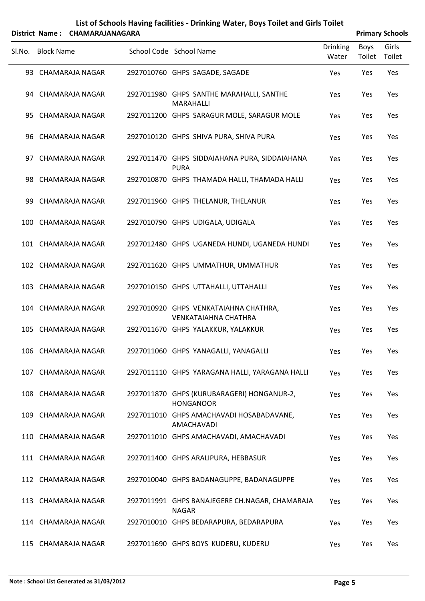### **List of Schools Having facilities ‐ Drinking Water, Boys Toilet and Girls Toilet District Name: CHAMARAJANAGARA Primary** Schools

| Sl.No. Block Name   |  | School Code School Name                                              | <b>Drinking</b><br>Water | Boys<br>Toilet | Girls<br>Toilet |
|---------------------|--|----------------------------------------------------------------------|--------------------------|----------------|-----------------|
| 93 CHAMARAJA NAGAR  |  | 2927010760 GHPS SAGADE, SAGADE                                       | Yes                      | Yes            | Yes             |
| 94 CHAMARAJA NAGAR  |  | 2927011980 GHPS SANTHE MARAHALLI, SANTHE<br><b>MARAHALLI</b>         | Yes                      | Yes            | Yes             |
| 95 CHAMARAJA NAGAR  |  | 2927011200 GHPS SARAGUR MOLE, SARAGUR MOLE                           | Yes                      | Yes            | Yes             |
| 96 CHAMARAJA NAGAR  |  | 2927010120 GHPS SHIVA PURA, SHIVA PURA                               | Yes                      | Yes            | Yes             |
| 97 CHAMARAJA NAGAR  |  | 2927011470 GHPS SIDDAIAHANA PURA, SIDDAIAHANA<br><b>PURA</b>         | Yes                      | Yes            | Yes             |
| 98 CHAMARAJA NAGAR  |  | 2927010870 GHPS THAMADA HALLI, THAMADA HALLI                         | Yes                      | Yes            | Yes             |
| 99 CHAMARAJA NAGAR  |  | 2927011960 GHPS THELANUR, THELANUR                                   | Yes                      | Yes            | Yes             |
| 100 CHAMARAJA NAGAR |  | 2927010790 GHPS UDIGALA, UDIGALA                                     | Yes                      | Yes            | Yes             |
| 101 CHAMARAJA NAGAR |  | 2927012480 GHPS UGANEDA HUNDI, UGANEDA HUNDI                         | Yes                      | Yes            | Yes             |
| 102 CHAMARAJA NAGAR |  | 2927011620 GHPS UMMATHUR, UMMATHUR                                   | Yes                      | Yes            | Yes             |
| 103 CHAMARAJA NAGAR |  | 2927010150 GHPS UTTAHALLI, UTTAHALLI                                 | Yes                      | Yes            | Yes             |
| 104 CHAMARAJA NAGAR |  | 2927010920 GHPS VENKATAIAHNA CHATHRA,<br><b>VENKATAIAHNA CHATHRA</b> | Yes                      | Yes            | Yes             |
| 105 CHAMARAJA NAGAR |  | 2927011670 GHPS YALAKKUR, YALAKKUR                                   | Yes                      | Yes            | Yes             |
| 106 CHAMARAJA NAGAR |  | 2927011060 GHPS YANAGALLI, YANAGALLI                                 | Yes                      | Yes            | Yes             |
| 107 CHAMARAJA NAGAR |  | 2927011110 GHPS YARAGANA HALLI, YARAGANA HALLI                       | Yes                      | Yes            | <b>Yes</b>      |
| 108 CHAMARAJA NAGAR |  | 2927011870 GHPS (KURUBARAGERI) HONGANUR-2,<br><b>HONGANOOR</b>       | Yes                      | Yes            | Yes             |
| 109 CHAMARAJA NAGAR |  | 2927011010 GHPS AMACHAVADI HOSABADAVANE,<br>AMACHAVADI               | Yes                      | Yes            | Yes             |
| 110 CHAMARAJA NAGAR |  | 2927011010 GHPS AMACHAVADI, AMACHAVADI                               | Yes                      | Yes            | Yes             |
| 111 CHAMARAJA NAGAR |  | 2927011400 GHPS ARALIPURA, HEBBASUR                                  | Yes                      | Yes            | Yes             |
| 112 CHAMARAJA NAGAR |  | 2927010040 GHPS BADANAGUPPE, BADANAGUPPE                             | Yes                      | Yes            | Yes             |
| 113 CHAMARAJA NAGAR |  | 2927011991 GHPS BANAJEGERE CH.NAGAR, CHAMARAJA<br><b>NAGAR</b>       | Yes                      | Yes            | <b>Yes</b>      |
| 114 CHAMARAJA NAGAR |  | 2927010010 GHPS BEDARAPURA, BEDARAPURA                               | Yes                      | Yes            | Yes             |
| 115 CHAMARAJA NAGAR |  | 2927011690 GHPS BOYS KUDERU, KUDERU                                  | Yes                      | Yes            | Yes             |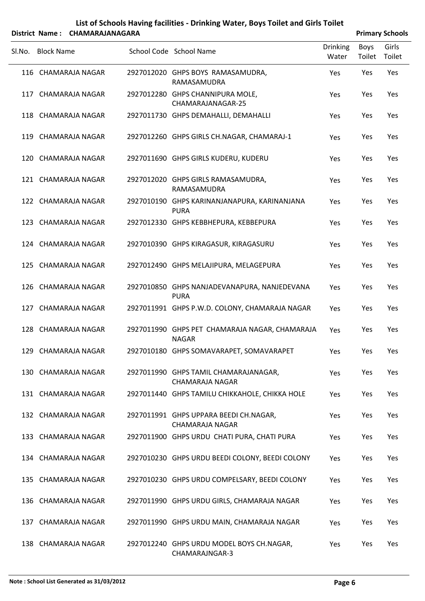|        |                   | District Name: CHAMARAJANAGARA |                                                                 |                          |                | <b>Primary Schools</b> |
|--------|-------------------|--------------------------------|-----------------------------------------------------------------|--------------------------|----------------|------------------------|
| SI.No. | <b>Block Name</b> |                                | School Code School Name                                         | <b>Drinking</b><br>Water | Boys<br>Toilet | Girls<br>Toilet        |
|        |                   | 116 CHAMARAJA NAGAR            | 2927012020 GHPS BOYS RAMASAMUDRA,<br>RAMASAMUDRA                | Yes                      | Yes            | Yes                    |
|        |                   | 117 CHAMARAJA NAGAR            | 2927012280 GHPS CHANNIPURA MOLE,<br>CHAMARAJANAGAR-25           | Yes                      | Yes            | Yes                    |
|        |                   | 118 CHAMARAJA NAGAR            | 2927011730 GHPS DEMAHALLI, DEMAHALLI                            | Yes                      | Yes            | Yes                    |
|        |                   | 119 CHAMARAJA NAGAR            | 2927012260 GHPS GIRLS CH.NAGAR, CHAMARAJ-1                      | Yes                      | Yes            | Yes                    |
|        |                   | 120 CHAMARAJA NAGAR            | 2927011690 GHPS GIRLS KUDERU, KUDERU                            | Yes                      | Yes            | Yes                    |
|        |                   | 121 CHAMARAJA NAGAR            | 2927012020 GHPS GIRLS RAMASAMUDRA,<br>RAMASAMUDRA               | Yes                      | Yes            | Yes                    |
|        |                   | 122 CHAMARAJA NAGAR            | 2927010190 GHPS KARINANJANAPURA, KARINANJANA<br><b>PURA</b>     | Yes                      | Yes            | Yes                    |
|        |                   | 123 CHAMARAJA NAGAR            | 2927012330 GHPS KEBBHEPURA, KEBBEPURA                           | Yes                      | Yes            | Yes                    |
|        |                   | 124 CHAMARAJA NAGAR            | 2927010390 GHPS KIRAGASUR, KIRAGASURU                           | Yes                      | Yes            | Yes                    |
|        |                   | 125 CHAMARAJA NAGAR            | 2927012490 GHPS MELAJIPURA, MELAGEPURA                          | Yes                      | Yes            | Yes                    |
|        |                   | 126 CHAMARAJA NAGAR            | 2927010850 GHPS NANJADEVANAPURA, NANJEDEVANA<br><b>PURA</b>     | Yes                      | Yes            | Yes                    |
|        |                   | 127 CHAMARAJA NAGAR            | 2927011991 GHPS P.W.D. COLONY, CHAMARAJA NAGAR                  | Yes                      | Yes            | Yes                    |
|        |                   | 128 CHAMARAJA NAGAR            | 2927011990 GHPS PET CHAMARAJA NAGAR, CHAMARAJA<br><b>NAGAR</b>  | Yes                      | Yes            | Yes                    |
|        |                   | 129 CHAMARAJA NAGAR            | 2927010180 GHPS SOMAVARAPET, SOMAVARAPET                        | Yes                      | Yes            | Yes                    |
|        |                   | 130 CHAMARAJA NAGAR            | 2927011990 GHPS TAMIL CHAMARAJANAGAR,<br><b>CHAMARAJA NAGAR</b> | Yes                      | Yes            | Yes                    |
|        |                   | 131 CHAMARAJA NAGAR            | 2927011440 GHPS TAMILU CHIKKAHOLE, CHIKKA HOLE                  | Yes                      | Yes            | Yes                    |
|        |                   | 132 CHAMARAJA NAGAR            | 2927011991 GHPS UPPARA BEEDI CH.NAGAR,<br>CHAMARAJA NAGAR       | Yes                      | Yes            | Yes                    |
|        |                   | 133 CHAMARAJA NAGAR            | 2927011900 GHPS URDU CHATI PURA, CHATI PURA                     | Yes                      | Yes            | Yes                    |
|        |                   | 134 CHAMARAJA NAGAR            | 2927010230 GHPS URDU BEEDI COLONY, BEEDI COLONY                 | Yes                      | Yes            | Yes                    |
|        |                   | 135 CHAMARAJA NAGAR            | 2927010230 GHPS URDU COMPELSARY, BEEDI COLONY                   | Yes                      | Yes            | Yes                    |
|        |                   | 136 CHAMARAJA NAGAR            | 2927011990 GHPS URDU GIRLS, CHAMARAJA NAGAR                     | Yes                      | Yes            | Yes                    |
|        |                   | 137 CHAMARAJA NAGAR            | 2927011990 GHPS URDU MAIN, CHAMARAJA NAGAR                      | Yes                      | Yes            | Yes                    |
|        |                   | 138 CHAMARAJA NAGAR            | 2927012240 GHPS URDU MODEL BOYS CH.NAGAR,<br>CHAMARAJNGAR-3     | Yes                      | Yes            | Yes                    |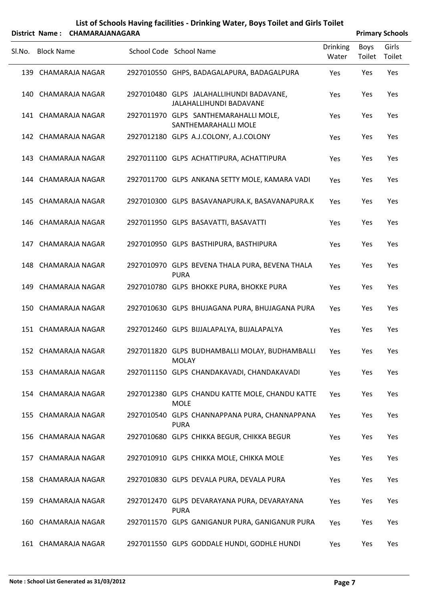|        |                   | District Name: CHAMARAJANAGARA |                                                                     |                          |                | <b>Primary Schools</b> |
|--------|-------------------|--------------------------------|---------------------------------------------------------------------|--------------------------|----------------|------------------------|
| Sl.No. | <b>Block Name</b> |                                | School Code School Name                                             | <b>Drinking</b><br>Water | Boys<br>Toilet | Girls<br>Toilet        |
|        |                   | 139 CHAMARAJA NAGAR            | 2927010550 GHPS, BADAGALAPURA, BADAGALPURA                          | Yes                      | Yes            | Yes                    |
|        |                   | 140 CHAMARAJA NAGAR            | 2927010480 GLPS JALAHALLIHUNDI BADAVANE,<br>JALAHALLIHUNDI BADAVANE | Yes                      | Yes            | Yes                    |
|        |                   | 141 CHAMARAJA NAGAR            | 2927011970 GLPS SANTHEMARAHALLI MOLE,<br>SANTHEMARAHALLI MOLE       | Yes                      | Yes            | Yes                    |
|        |                   | 142 CHAMARAJA NAGAR            | 2927012180 GLPS A.J.COLONY, A.J.COLONY                              | Yes                      | Yes            | Yes                    |
|        |                   | 143 CHAMARAJA NAGAR            | 2927011100 GLPS ACHATTIPURA, ACHATTIPURA                            | Yes                      | Yes            | Yes                    |
|        |                   | 144 CHAMARAJA NAGAR            | 2927011700 GLPS ANKANA SETTY MOLE, KAMARA VADI                      | Yes                      | Yes            | Yes                    |
|        |                   | 145 CHAMARAJA NAGAR            | 2927010300 GLPS BASAVANAPURA.K, BASAVANAPURA.K                      | <b>Yes</b>               | Yes            | Yes                    |
|        |                   | 146 CHAMARAJA NAGAR            | 2927011950 GLPS BASAVATTI, BASAVATTI                                | Yes                      | Yes            | Yes                    |
|        |                   | 147 CHAMARAJA NAGAR            | 2927010950 GLPS BASTHIPURA, BASTHIPURA                              | Yes                      | Yes            | Yes                    |
|        |                   | 148 CHAMARAJA NAGAR            | 2927010970 GLPS BEVENA THALA PURA, BEVENA THALA<br><b>PURA</b>      | Yes                      | Yes            | Yes                    |
|        |                   | 149 CHAMARAJA NAGAR            | 2927010780 GLPS BHOKKE PURA, BHOKKE PURA                            | Yes                      | Yes            | Yes                    |
|        |                   | 150 CHAMARAJA NAGAR            | 2927010630 GLPS BHUJAGANA PURA, BHUJAGANA PURA                      | Yes                      | Yes            | Yes                    |
|        |                   | 151 CHAMARAJA NAGAR            | 2927012460 GLPS BIJJALAPALYA, BIJJALAPALYA                          | Yes                      | Yes            | Yes                    |
|        |                   | 152 CHAMARAJA NAGAR            | 2927011820 GLPS BUDHAMBALLI MOLAY, BUDHAMBALLI<br><b>MOLAY</b>      | Yes                      | Yes            | Yes                    |
|        |                   | 153 CHAMARAJA NAGAR            | 2927011150 GLPS CHANDAKAVADI, CHANDAKAVADI                          | Yes                      | Yes            | Yes                    |
|        |                   | 154 CHAMARAJA NAGAR            | 2927012380 GLPS CHANDU KATTE MOLE, CHANDU KATTE<br><b>MOLE</b>      | Yes                      | Yes            | Yes                    |
|        |                   | 155 CHAMARAJA NAGAR            | 2927010540 GLPS CHANNAPPANA PURA, CHANNAPPANA<br><b>PURA</b>        | Yes                      | Yes            | Yes                    |
|        |                   | 156 CHAMARAJA NAGAR            | 2927010680 GLPS CHIKKA BEGUR, CHIKKA BEGUR                          | Yes                      | Yes            | Yes                    |
|        |                   | 157 CHAMARAJA NAGAR            | 2927010910 GLPS CHIKKA MOLE, CHIKKA MOLE                            | Yes                      | Yes            | Yes                    |
|        |                   | 158 CHAMARAJA NAGAR            | 2927010830 GLPS DEVALA PURA, DEVALA PURA                            | Yes                      | Yes            | Yes                    |
|        |                   | 159 CHAMARAJA NAGAR            | 2927012470 GLPS DEVARAYANA PURA, DEVARAYANA<br><b>PURA</b>          | Yes                      | Yes            | Yes                    |
|        |                   | 160 CHAMARAJA NAGAR            | 2927011570 GLPS GANIGANUR PURA, GANIGANUR PURA                      | Yes                      | Yes            | Yes                    |
|        |                   | 161 CHAMARAJA NAGAR            | 2927011550 GLPS GODDALE HUNDI, GODHLE HUNDI                         | Yes                      | Yes            | Yes                    |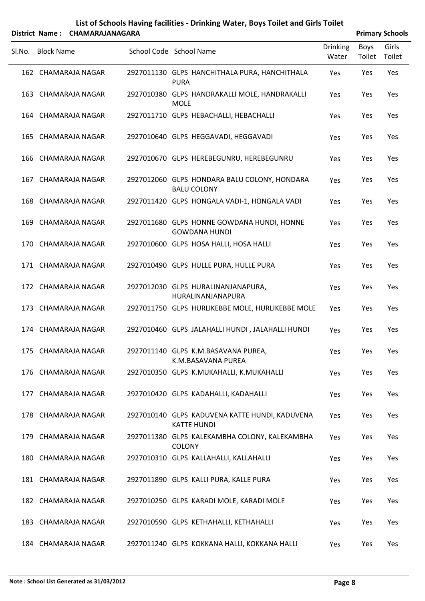|        |                   | District Name: CHAMARAJANAGARA |                                                                      |                          |                | <b>Primary Schools</b> |
|--------|-------------------|--------------------------------|----------------------------------------------------------------------|--------------------------|----------------|------------------------|
| SI.No. | <b>Block Name</b> |                                | School Code School Name                                              | <b>Drinking</b><br>Water | Boys<br>Toilet | Girls<br>Toilet        |
|        |                   | 162 CHAMARAJA NAGAR            | 2927011130 GLPS HANCHITHALA PURA, HANCHITHALA<br><b>PURA</b>         | Yes                      | Yes            | Yes                    |
|        |                   | 163 CHAMARAJA NAGAR            | 2927010380 GLPS HANDRAKALLI MOLE, HANDRAKALLI<br><b>MOLE</b>         | Yes                      | Yes            | Yes                    |
|        |                   | 164 CHAMARAJA NAGAR            | 2927011710 GLPS HEBACHALLI, HEBACHALLI                               | Yes                      | Yes            | Yes                    |
|        |                   | 165 CHAMARAJA NAGAR            | 2927010640 GLPS HEGGAVADI, HEGGAVADI                                 | Yes                      | Yes            | Yes                    |
|        |                   | 166 CHAMARAJA NAGAR            | 2927010670 GLPS HEREBEGUNRU, HEREBEGUNRU                             | Yes                      | Yes            | Yes                    |
|        |                   | 167 CHAMARAJA NAGAR            | 2927012060 GLPS HONDARA BALU COLONY, HONDARA<br><b>BALU COLONY</b>   | Yes                      | Yes            | Yes                    |
|        |                   | 168 CHAMARAJA NAGAR            | 2927011420 GLPS HONGALA VADI-1, HONGALA VADI                         | Yes                      | Yes            | Yes                    |
|        |                   | 169 CHAMARAJA NAGAR            | 2927011680 GLPS HONNE GOWDANA HUNDI, HONNE<br><b>GOWDANA HUNDI</b>   | Yes                      | Yes            | Yes                    |
|        |                   | 170 CHAMARAJA NAGAR            | 2927010600 GLPS HOSA HALLI, HOSA HALLI                               | Yes                      | Yes            | Yes                    |
|        |                   | 171 CHAMARAJA NAGAR            | 2927010490 GLPS HULLE PURA, HULLE PURA                               | Yes                      | Yes            | Yes                    |
|        |                   | 172 CHAMARAJA NAGAR            | 2927012030 GLPS HURALINANJANAPURA,<br>HURALINANJANAPURA              | Yes                      | Yes            | Yes                    |
|        |                   | 173 CHAMARAJA NAGAR            | 2927011750 GLPS HURLIKEBBE MOLE, HURLIKEBBE MOLE                     | Yes                      | Yes            | Yes                    |
|        |                   | 174 CHAMARAJA NAGAR            | 2927010460 GLPS JALAHALLI HUNDI, JALAHALLI HUNDI                     | Yes                      | Yes            | Yes                    |
|        |                   | 175 CHAMARAJA NAGAR            | 2927011140 GLPS K.M.BASAVANA PUREA,<br>K.M.BASAVANA PUREA            | Yes                      | Yes            | Yes                    |
|        |                   | 176 CHAMARAJA NAGAR            | 2927010350 GLPS K.MUKAHALLI, K.MUKAHALLI                             | Yes                      | Yes            | Yes                    |
|        |                   | 177 CHAMARAJA NAGAR            | 2927010420 GLPS KADAHALLI, KADAHALLI                                 | Yes                      | Yes            | Yes                    |
|        |                   | 178 CHAMARAJA NAGAR            | 2927010140 GLPS KADUVENA KATTE HUNDI, KADUVENA<br><b>KATTE HUNDI</b> | Yes                      | Yes            | Yes                    |
|        |                   | 179 CHAMARAJA NAGAR            | 2927011380 GLPS KALEKAMBHA COLONY, KALEKAMBHA<br><b>COLONY</b>       | Yes                      | Yes            | Yes                    |
|        |                   | 180 CHAMARAJA NAGAR            | 2927010310 GLPS KALLAHALLI, KALLAHALLI                               | Yes                      | Yes            | Yes                    |
|        |                   | 181 CHAMARAJA NAGAR            | 2927011890 GLPS KALLI PURA, KALLE PURA                               | Yes                      | Yes            | Yes                    |
|        |                   | 182 CHAMARAJA NAGAR            | 2927010250 GLPS KARADI MOLE, KARADI MOLE                             | Yes                      | Yes            | Yes                    |
|        |                   | 183 CHAMARAJA NAGAR            | 2927010590 GLPS KETHAHALLI, KETHAHALLI                               | Yes                      | Yes            | Yes                    |
|        |                   | 184 CHAMARAJA NAGAR            | 2927011240 GLPS KOKKANA HALLI, KOKKANA HALLI                         | Yes                      | Yes            | Yes                    |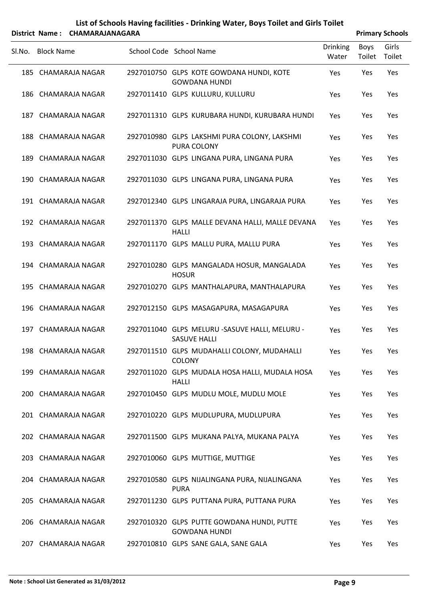|        |                   | District Name: CHAMARAJANAGARA |                                                                       |                          |                | <b>Primary Schools</b> |
|--------|-------------------|--------------------------------|-----------------------------------------------------------------------|--------------------------|----------------|------------------------|
| Sl.No. | <b>Block Name</b> |                                | School Code School Name                                               | <b>Drinking</b><br>Water | Boys<br>Toilet | Girls<br>Toilet        |
|        |                   | 185 CHAMARAJA NAGAR            | 2927010750 GLPS KOTE GOWDANA HUNDI, KOTE<br><b>GOWDANA HUNDI</b>      | Yes                      | Yes            | Yes                    |
|        |                   | 186 CHAMARAJA NAGAR            | 2927011410 GLPS KULLURU, KULLURU                                      | Yes                      | Yes            | Yes                    |
|        |                   | 187 CHAMARAJA NAGAR            | 2927011310 GLPS KURUBARA HUNDI, KURUBARA HUNDI                        | Yes                      | Yes            | Yes                    |
|        |                   | 188 CHAMARAJA NAGAR            | 2927010980 GLPS LAKSHMI PURA COLONY, LAKSHMI<br>PURA COLONY           | Yes                      | Yes            | Yes                    |
|        |                   | 189 CHAMARAJA NAGAR            | 2927011030 GLPS LINGANA PURA, LINGANA PURA                            | Yes                      | Yes            | Yes                    |
|        |                   | 190 CHAMARAJA NAGAR            | 2927011030 GLPS LINGANA PURA, LINGANA PURA                            | Yes                      | Yes            | Yes                    |
|        |                   | 191 CHAMARAJA NAGAR            | 2927012340 GLPS LINGARAJA PURA, LINGARAJA PURA                        | Yes                      | Yes            | Yes                    |
|        |                   | 192 CHAMARAJA NAGAR            | 2927011370 GLPS MALLE DEVANA HALLI, MALLE DEVANA<br><b>HALLI</b>      | Yes                      | Yes            | Yes                    |
|        |                   | 193 CHAMARAJA NAGAR            | 2927011170 GLPS MALLU PURA, MALLU PURA                                | Yes                      | Yes            | Yes                    |
|        |                   | 194 CHAMARAJA NAGAR            | 2927010280 GLPS MANGALADA HOSUR, MANGALADA<br><b>HOSUR</b>            | Yes                      | Yes            | Yes                    |
|        |                   | 195 CHAMARAJA NAGAR            | 2927010270 GLPS MANTHALAPURA, MANTHALAPURA                            | Yes                      | Yes            | Yes                    |
|        |                   | 196 CHAMARAJA NAGAR            | 2927012150 GLPS MASAGAPURA, MASAGAPURA                                | Yes                      | Yes            | Yes                    |
|        |                   | 197 CHAMARAJA NAGAR            | 2927011040 GLPS MELURU -SASUVE HALLI, MELURU -<br><b>SASUVE HALLI</b> | Yes                      | Yes            | Yes                    |
|        |                   | 198 CHAMARAJA NAGAR            | 2927011510 GLPS MUDAHALLI COLONY, MUDAHALLI<br><b>COLONY</b>          | Yes                      | Yes            | Yes                    |
|        |                   | 199 CHAMARAJA NAGAR            | 2927011020 GLPS MUDALA HOSA HALLI, MUDALA HOSA<br><b>HALLI</b>        | Yes                      | Yes            | Yes                    |
|        |                   | 200 CHAMARAJA NAGAR            | 2927010450 GLPS MUDLU MOLE, MUDLU MOLE                                | Yes                      | Yes            | Yes                    |
|        |                   | 201 CHAMARAJA NAGAR            | 2927010220 GLPS MUDLUPURA, MUDLUPURA                                  | Yes                      | Yes            | Yes                    |
|        |                   | 202 CHAMARAJA NAGAR            | 2927011500 GLPS MUKANA PALYA, MUKANA PALYA                            | Yes                      | Yes            | Yes                    |
|        |                   | 203 CHAMARAJA NAGAR            | 2927010060 GLPS MUTTIGE, MUTTIGE                                      | Yes                      | Yes            | Yes                    |
|        |                   | 204 CHAMARAJA NAGAR            | 2927010580 GLPS NIJALINGANA PURA, NIJALINGANA<br><b>PURA</b>          | Yes                      | Yes            | Yes                    |
|        |                   | 205 CHAMARAJA NAGAR            | 2927011230 GLPS PUTTANA PURA, PUTTANA PURA                            | Yes                      | Yes            | Yes                    |
|        |                   | 206 CHAMARAJA NAGAR            | 2927010320 GLPS PUTTE GOWDANA HUNDI, PUTTE<br><b>GOWDANA HUNDI</b>    | Yes                      | Yes            | Yes                    |
|        |                   | 207 CHAMARAJA NAGAR            | 2927010810 GLPS SANE GALA, SANE GALA                                  | Yes                      | Yes            | Yes                    |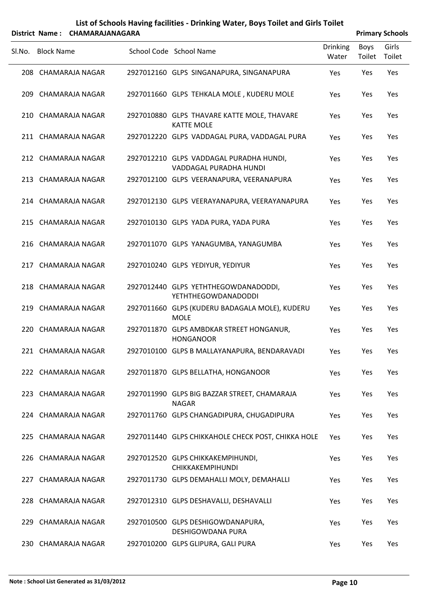|        |                   | District Name: CHAMARAJANAGARA             |                                                                              |                          |                | <b>Primary Schools</b> |
|--------|-------------------|--------------------------------------------|------------------------------------------------------------------------------|--------------------------|----------------|------------------------|
| Sl.No. | <b>Block Name</b> |                                            | School Code School Name                                                      | <b>Drinking</b><br>Water | Boys<br>Toilet | Girls<br>Toilet        |
|        |                   | 208 CHAMARAJA NAGAR                        | 2927012160 GLPS SINGANAPURA, SINGANAPURA                                     | Yes                      | Yes            | Yes                    |
|        |                   | 209 CHAMARAJA NAGAR                        | 2927011660 GLPS TEHKALA MOLE, KUDERU MOLE                                    | Yes                      | Yes            | Yes                    |
|        |                   | 210 CHAMARAJA NAGAR                        | 2927010880 GLPS THAVARE KATTE MOLE, THAVARE<br><b>KATTE MOLE</b>             | Yes                      | Yes            | Yes                    |
|        |                   | 211 CHAMARAJA NAGAR                        | 2927012220 GLPS VADDAGAL PURA, VADDAGAL PURA                                 | Yes                      | Yes            | Yes                    |
|        |                   | 212 CHAMARAJA NAGAR                        | 2927012210 GLPS VADDAGAL PURADHA HUNDI,<br>VADDAGAL PURADHA HUNDI            | Yes                      | Yes            | Yes                    |
|        |                   | 213 CHAMARAJA NAGAR                        | 2927012100 GLPS VEERANAPURA, VEERANAPURA                                     | Yes                      | Yes            | Yes                    |
|        |                   | 214 CHAMARAJA NAGAR                        | 2927012130 GLPS VEERAYANAPURA, VEERAYANAPURA                                 | Yes                      | Yes            | Yes                    |
|        |                   | 215 CHAMARAJA NAGAR                        | 2927010130 GLPS YADA PURA, YADA PURA                                         | Yes                      | Yes            | Yes                    |
|        |                   | 216 CHAMARAJA NAGAR<br>217 CHAMARAJA NAGAR | 2927011070 GLPS YANAGUMBA, YANAGUMBA<br>2927010240 GLPS YEDIYUR, YEDIYUR     | Yes                      | Yes            | Yes<br>Yes             |
|        |                   | 218 CHAMARAJA NAGAR                        | 2927012440 GLPS YETHTHEGOWDANADODDI,                                         | Yes<br>Yes               | Yes<br>Yes     | Yes                    |
|        |                   | 219 CHAMARAJA NAGAR                        | <b>YETHTHEGOWDANADODDI</b><br>2927011660 GLPS (KUDERU BADAGALA MOLE), KUDERU | Yes                      | Yes            | Yes                    |
|        |                   | 220 CHAMARAJA NAGAR                        | <b>MOLE</b><br>2927011870 GLPS AMBDKAR STREET HONGANUR,                      | Yes                      | Yes            | Yes                    |
|        |                   | 221 CHAMARAJA NAGAR                        | <b>HONGANOOR</b><br>2927010100 GLPS B MALLAYANAPURA, BENDARAVADI             | Yes                      | Yes            | Yes                    |
|        |                   | 222 CHAMARAJA NAGAR                        | 2927011870 GLPS BELLATHA, HONGANOOR                                          | Yes                      | Yes            | Yes                    |
|        |                   | 223 CHAMARAJA NAGAR                        | 2927011990 GLPS BIG BAZZAR STREET, CHAMARAJA                                 | Yes                      | Yes            | Yes                    |
|        |                   | 224 CHAMARAJA NAGAR                        | <b>NAGAR</b><br>2927011760 GLPS CHANGADIPURA, CHUGADIPURA                    | Yes                      | Yes            | Yes                    |
|        |                   | 225 CHAMARAJA NAGAR                        | 2927011440 GLPS CHIKKAHOLE CHECK POST, CHIKKA HOLE                           | Yes                      | Yes            | Yes                    |
|        |                   | 226 CHAMARAJA NAGAR                        | 2927012520 GLPS CHIKKAKEMPIHUNDI,                                            | Yes                      | Yes            | Yes                    |
|        |                   | 227 CHAMARAJA NAGAR                        | CHIKKAKEMPIHUNDI<br>2927011730 GLPS DEMAHALLI MOLY, DEMAHALLI                | Yes                      | Yes            | Yes                    |
|        |                   | 228 CHAMARAJA NAGAR                        | 2927012310 GLPS DESHAVALLI, DESHAVALLI                                       | Yes                      | Yes            | Yes                    |
|        |                   | 229 CHAMARAJA NAGAR                        | 2927010500 GLPS DESHIGOWDANAPURA,<br>DESHIGOWDANA PURA                       | Yes                      | Yes            | Yes                    |

230 CHAMARAJA NAGAR 2927010200 GLPS GLIPURA, GALI PURA THE YES YES YES YES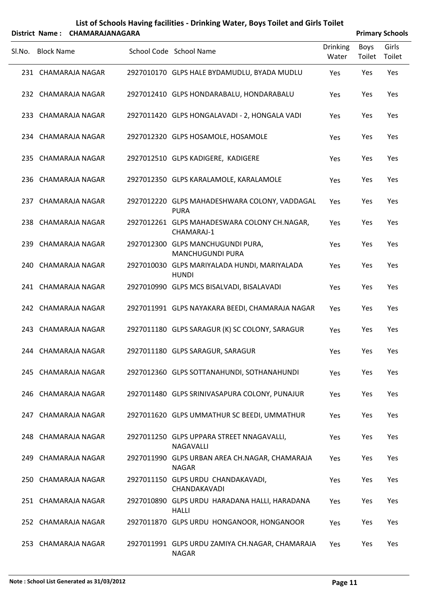|        | District Name: CHAMARAJANAGARA |                     |  |                                                                 |                          |                | <b>Primary Schools</b> |
|--------|--------------------------------|---------------------|--|-----------------------------------------------------------------|--------------------------|----------------|------------------------|
| Sl.No. | <b>Block Name</b>              |                     |  | School Code School Name                                         | <b>Drinking</b><br>Water | Boys<br>Toilet | Girls<br>Toilet        |
|        |                                | 231 CHAMARAJA NAGAR |  | 2927010170 GLPS HALE BYDAMUDLU, BYADA MUDLU                     | Yes                      | Yes            | Yes                    |
|        |                                | 232 CHAMARAJA NAGAR |  | 2927012410 GLPS HONDARABALU, HONDARABALU                        | Yes                      | Yes            | Yes                    |
|        |                                | 233 CHAMARAJA NAGAR |  | 2927011420 GLPS HONGALAVADI - 2, HONGALA VADI                   | Yes                      | Yes            | Yes                    |
|        |                                | 234 CHAMARAJA NAGAR |  | 2927012320 GLPS HOSAMOLE, HOSAMOLE                              | Yes                      | Yes            | Yes                    |
|        |                                | 235 CHAMARAJA NAGAR |  | 2927012510 GLPS KADIGERE, KADIGERE                              | Yes                      | Yes            | Yes                    |
|        |                                | 236 CHAMARAJA NAGAR |  | 2927012350 GLPS KARALAMOLE, KARALAMOLE                          | Yes                      | Yes            | Yes                    |
|        |                                | 237 CHAMARAJA NAGAR |  | 2927012220 GLPS MAHADESHWARA COLONY, VADDAGAL<br><b>PURA</b>    | Yes                      | Yes            | Yes                    |
|        |                                | 238 CHAMARAJA NAGAR |  | 2927012261 GLPS MAHADESWARA COLONY CH.NAGAR,<br>CHAMARAJ-1      | Yes                      | Yes            | Yes                    |
|        |                                | 239 CHAMARAJA NAGAR |  | 2927012300 GLPS MANCHUGUNDI PURA,<br><b>MANCHUGUNDI PURA</b>    | Yes                      | Yes            | Yes                    |
|        |                                | 240 CHAMARAJA NAGAR |  | 2927010030 GLPS MARIYALADA HUNDI, MARIYALADA<br><b>HUNDI</b>    | Yes                      | Yes            | Yes                    |
|        |                                | 241 CHAMARAJA NAGAR |  | 2927010990 GLPS MCS BISALVADI, BISALAVADI                       | Yes                      | Yes            | Yes                    |
|        |                                | 242 CHAMARAJA NAGAR |  | 2927011991 GLPS NAYAKARA BEEDI, CHAMARAJA NAGAR                 | Yes                      | Yes            | Yes                    |
|        |                                | 243 CHAMARAJA NAGAR |  | 2927011180 GLPS SARAGUR (K) SC COLONY, SARAGUR                  | Yes                      | Yes            | Yes                    |
|        |                                | 244 CHAMARAJA NAGAR |  | 2927011180 GLPS SARAGUR, SARAGUR                                | Yes                      | Yes            | Yes                    |
|        |                                | 245 CHAMARAJA NAGAR |  | 2927012360 GLPS SOTTANAHUNDI, SOTHANAHUNDI                      | Yes                      | Yes            | Yes                    |
|        |                                | 246 CHAMARAJA NAGAR |  | 2927011480 GLPS SRINIVASAPURA COLONY, PUNAJUR                   | Yes                      | Yes            | Yes                    |
|        |                                | 247 CHAMARAJA NAGAR |  | 2927011620 GLPS UMMATHUR SC BEEDI, UMMATHUR                     | Yes                      | Yes            | Yes                    |
|        |                                | 248 CHAMARAJA NAGAR |  | 2927011250 GLPS UPPARA STREET NNAGAVALLI,<br><b>NAGAVALLI</b>   | Yes                      | Yes            | Yes                    |
|        |                                | 249 CHAMARAJA NAGAR |  | 2927011990 GLPS URBAN AREA CH.NAGAR, CHAMARAJA<br><b>NAGAR</b>  | Yes                      | Yes            | Yes                    |
|        |                                | 250 CHAMARAJA NAGAR |  | 2927011150 GLPS URDU CHANDAKAVADI,<br>CHANDAKAVADI              | Yes                      | Yes            | Yes                    |
|        |                                | 251 CHAMARAJA NAGAR |  | 2927010890 GLPS URDU HARADANA HALLI, HARADANA<br><b>HALLI</b>   | Yes                      | Yes            | Yes                    |
|        |                                | 252 CHAMARAJA NAGAR |  | 2927011870 GLPS URDU HONGANOOR, HONGANOOR                       | Yes                      | Yes            | Yes                    |
|        |                                | 253 CHAMARAJA NAGAR |  | 2927011991 GLPS URDU ZAMIYA CH.NAGAR, CHAMARAJA<br><b>NAGAR</b> | Yes                      | Yes            | Yes                    |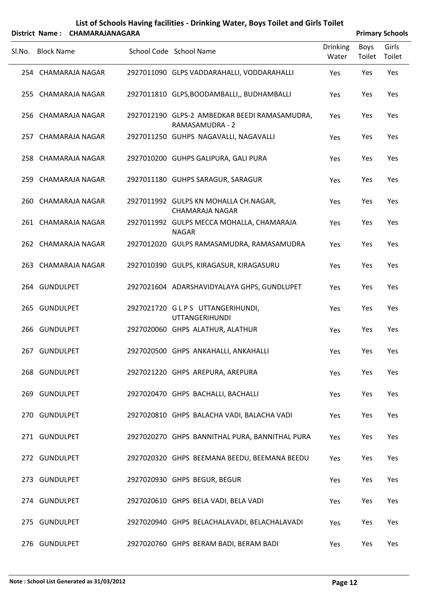|        |                   | District Name: CHAMARAJANAGARA |                                                                  |                          |                | <b>Primary Schools</b> |
|--------|-------------------|--------------------------------|------------------------------------------------------------------|--------------------------|----------------|------------------------|
| Sl.No. | <b>Block Name</b> |                                | School Code School Name                                          | <b>Drinking</b><br>Water | Boys<br>Toilet | Girls<br>Toilet        |
|        |                   | 254 CHAMARAJA NAGAR            | 2927011090 GLPS VADDARAHALLI, VODDARAHALLI                       | Yes                      | Yes            | Yes                    |
|        |                   | 255 CHAMARAJA NAGAR            | 2927011810 GLPS, BOODAMBALLI,, BUDHAMBALLI                       | Yes                      | Yes            | Yes                    |
|        |                   | 256 CHAMARAJA NAGAR            | 2927012190 GLPS-2 AMBEDKAR BEEDI RAMASAMUDRA,<br>RAMASAMUDRA - 2 | Yes                      | Yes            | Yes                    |
|        |                   | 257 CHAMARAJA NAGAR            | 2927011250 GUHPS NAGAVALLI, NAGAVALLI                            | Yes                      | Yes            | Yes                    |
|        |                   | 258 CHAMARAJA NAGAR            | 2927010200 GUHPS GALIPURA, GALI PURA                             | Yes                      | Yes            | Yes                    |
|        |                   | 259 CHAMARAJA NAGAR            | 2927011180 GUHPS SARAGUR, SARAGUR                                | Yes                      | Yes            | Yes                    |
|        |                   | 260 CHAMARAJA NAGAR            | 2927011992 GULPS KN MOHALLA CH.NAGAR,<br>CHAMARAJA NAGAR         | Yes                      | Yes            | Yes                    |
|        |                   | 261 CHAMARAJA NAGAR            | 2927011992 GULPS MECCA MOHALLA, CHAMARAJA<br><b>NAGAR</b>        | Yes                      | Yes            | Yes                    |
|        |                   | 262 CHAMARAJA NAGAR            | 2927012020 GULPS RAMASAMUDRA, RAMASAMUDRA                        | Yes                      | Yes            | Yes                    |
|        |                   | 263 CHAMARAJA NAGAR            | 2927010390 GULPS, KIRAGASUR, KIRAGASURU                          | Yes                      | Yes            | Yes                    |
|        | 264 GUNDULPET     |                                | 2927021604 ADARSHAVIDYALAYA GHPS, GUNDLUPET                      | Yes                      | Yes            | Yes                    |
|        | 265 GUNDULPET     |                                | 2927021720 GLPS UTTANGERIHUNDI,<br><b>UTTANGERIHUNDI</b>         | Yes                      | Yes            | Yes                    |
|        | 266 GUNDULPET     |                                | 2927020060 GHPS ALATHUR, ALATHUR                                 | Yes                      | Yes            | Yes                    |
|        | 267 GUNDULPET     |                                | 2927020500 GHPS ANKAHALLI, ANKAHALLI                             | Yes                      | Yes            | Yes                    |
|        | 268 GUNDULPET     |                                | 2927021220 GHPS AREPURA, AREPURA                                 | Yes                      | Yes            | Yes                    |
|        | 269 GUNDULPET     |                                | 2927020470 GHPS BACHALLI, BACHALLI                               | Yes                      | Yes            | Yes                    |
|        | 270 GUNDULPET     |                                | 2927020810 GHPS BALACHA VADI, BALACHA VADI                       | Yes                      | Yes            | Yes                    |
|        | 271 GUNDULPET     |                                | 2927020270 GHPS BANNITHAL PURA, BANNITHAL PURA                   | Yes                      | Yes            | Yes                    |
|        | 272 GUNDULPET     |                                | 2927020320 GHPS BEEMANA BEEDU, BEEMANA BEEDU                     | Yes                      | Yes            | Yes                    |
|        | 273 GUNDULPET     |                                | 2927020930 GHPS BEGUR, BEGUR                                     | Yes                      | Yes            | Yes                    |
|        | 274 GUNDULPET     |                                | 2927020610 GHPS BELA VADI, BELA VADI                             | Yes                      | Yes            | Yes                    |
|        | 275 GUNDULPET     |                                | 2927020940 GHPS BELACHALAVADI, BELACHALAVADI                     | Yes                      | Yes            | Yes                    |
|        | 276 GUNDULPET     |                                | 2927020760 GHPS BERAM BADI, BERAM BADI                           | Yes                      | Yes            | Yes                    |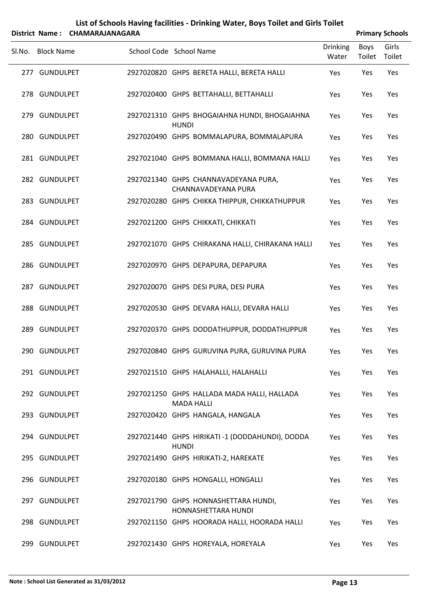| List of Schools Having facilities - Drinking Water, Boys Toilet and Girls Toilet |
|----------------------------------------------------------------------------------|
| $\mathcal{L}$ . Alexandro Citabana matanggama                                    |

|        | District Name: CHAMARAJANAGARA |                                                                  |                          |                | <b>Primary Schools</b> |
|--------|--------------------------------|------------------------------------------------------------------|--------------------------|----------------|------------------------|
| Sl.No. | <b>Block Name</b>              | School Code School Name                                          | <b>Drinking</b><br>Water | Boys<br>Toilet | Girls<br>Toilet        |
|        | 277 GUNDULPET                  | 2927020820 GHPS BERETA HALLI, BERETA HALLI                       | Yes                      | Yes            | Yes                    |
|        | 278 GUNDULPET                  | 2927020400 GHPS BETTAHALLI, BETTAHALLI                           | Yes                      | Yes            | Yes                    |
|        | 279 GUNDULPET                  | 2927021310 GHPS BHOGAIAHNA HUNDI, BHOGAIAHNA<br><b>HUNDI</b>     | Yes                      | Yes            | Yes                    |
|        | 280 GUNDULPET                  | 2927020490 GHPS BOMMALAPURA, BOMMALAPURA                         | Yes                      | Yes            | Yes                    |
|        | 281 GUNDULPET                  | 2927021040 GHPS BOMMANA HALLI, BOMMANA HALLI                     | Yes                      | Yes            | Yes                    |
|        | 282 GUNDULPET                  | 2927021340 GHPS CHANNAVADEYANA PURA,<br>CHANNAVADEYANA PURA      | Yes                      | Yes            | Yes                    |
|        | 283 GUNDULPET                  | 2927020280 GHPS CHIKKA THIPPUR, CHIKKATHUPPUR                    | Yes                      | Yes            | Yes                    |
|        | 284 GUNDULPET                  | 2927021200 GHPS CHIKKATI, CHIKKATI                               | Yes                      | Yes            | Yes                    |
|        | 285 GUNDULPET                  | 2927021070 GHPS CHIRAKANA HALLI, CHIRAKANA HALLI                 | Yes                      | Yes            | Yes                    |
|        | 286 GUNDULPET                  | 2927020970 GHPS DEPAPURA, DEPAPURA                               | Yes                      | Yes            | Yes                    |
|        | 287 GUNDULPET                  | 2927020070 GHPS DESI PURA, DESI PURA                             | Yes                      | Yes            | Yes                    |
|        | 288 GUNDULPET                  | 2927020530 GHPS DEVARA HALLI, DEVARA HALLI                       | Yes                      | Yes            | Yes                    |
|        | 289 GUNDULPET                  | 2927020370 GHPS DODDATHUPPUR, DODDATHUPPUR                       | Yes                      | Yes            | Yes                    |
|        | 290 GUNDULPET                  | 2927020840 GHPS GURUVINA PURA, GURUVINA PURA                     | Yes                      | Yes            | Yes                    |
|        | 291 GUNDULPET                  | 2927021510 GHPS HALAHALLI, HALAHALLI                             | Yes                      | Yes            | Yes                    |
|        | 292 GUNDULPET                  | 2927021250 GHPS HALLADA MADA HALLI, HALLADA<br><b>MADA HALLI</b> | Yes                      | Yes            | Yes                    |
|        | 293 GUNDULPET                  | 2927020420 GHPS HANGALA, HANGALA                                 | Yes                      | Yes            | Yes                    |
|        | 294 GUNDULPET                  | 2927021440 GHPS HIRIKATI-1 (DODDAHUNDI), DODDA<br><b>HUNDI</b>   | Yes                      | Yes            | Yes                    |
|        | 295 GUNDULPET                  | 2927021490 GHPS HIRIKATI-2, HAREKATE                             | Yes                      | Yes            | Yes                    |
|        | 296 GUNDULPET                  | 2927020180 GHPS HONGALLI, HONGALLI                               | Yes                      | Yes            | Yes                    |
|        | 297 GUNDULPET                  | 2927021790 GHPS HONNASHETTARA HUNDI,<br>HONNASHETTARA HUNDI      | Yes                      | Yes            | Yes                    |
|        | 298 GUNDULPET                  | 2927021150 GHPS HOORADA HALLI, HOORADA HALLI                     | Yes                      | Yes            | Yes                    |
|        | 299 GUNDULPET                  | 2927021430 GHPS HOREYALA, HOREYALA                               | Yes                      | Yes            | Yes                    |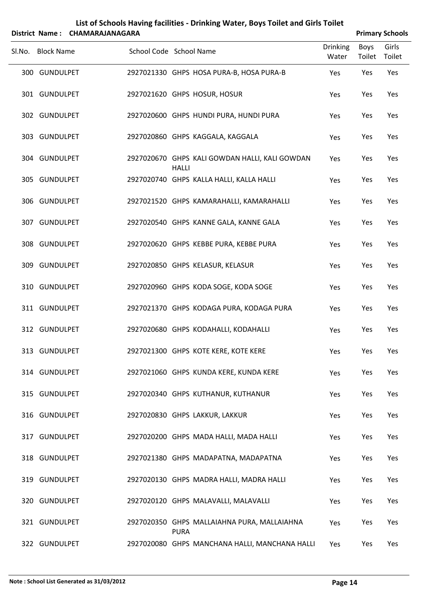| List of Schools Having facilities - Drinking Water, Boys Toilet and Girls Toilet |
|----------------------------------------------------------------------------------|
| ------------------                                                               |

|        | District Name: CHAMARAJANAGARA |                         |              |                                                |                          |                | <b>Primary Schools</b> |
|--------|--------------------------------|-------------------------|--------------|------------------------------------------------|--------------------------|----------------|------------------------|
| Sl.No. | <b>Block Name</b>              | School Code School Name |              |                                                | <b>Drinking</b><br>Water | Boys<br>Toilet | Girls<br>Toilet        |
|        | 300 GUNDULPET                  |                         |              | 2927021330 GHPS HOSA PURA-B, HOSA PURA-B       | Yes                      | Yes            | Yes                    |
|        | 301 GUNDULPET                  |                         |              | 2927021620 GHPS HOSUR, HOSUR                   | Yes                      | Yes            | Yes                    |
|        | 302 GUNDULPET                  |                         |              | 2927020600 GHPS HUNDI PURA, HUNDI PURA         | Yes                      | Yes            | Yes                    |
|        | 303 GUNDULPET                  |                         |              | 2927020860 GHPS KAGGALA, KAGGALA               | Yes                      | Yes            | Yes                    |
|        | 304 GUNDULPET                  |                         | <b>HALLI</b> | 2927020670 GHPS KALI GOWDAN HALLI, KALI GOWDAN | Yes                      | Yes            | Yes                    |
|        | 305 GUNDULPET                  |                         |              | 2927020740 GHPS KALLA HALLI, KALLA HALLI       | Yes                      | Yes            | Yes                    |
|        | 306 GUNDULPET                  |                         |              | 2927021520 GHPS KAMARAHALLI, KAMARAHALLI       | Yes                      | Yes            | Yes                    |
|        | 307 GUNDULPET                  |                         |              | 2927020540 GHPS KANNE GALA, KANNE GALA         | Yes                      | Yes            | Yes                    |
|        | 308 GUNDULPET                  |                         |              | 2927020620 GHPS KEBBE PURA, KEBBE PURA         | Yes                      | Yes            | Yes                    |
|        | 309 GUNDULPET                  |                         |              | 2927020850 GHPS KELASUR, KELASUR               | Yes                      | Yes            | Yes                    |
|        | 310 GUNDULPET                  |                         |              | 2927020960 GHPS KODA SOGE, KODA SOGE           | Yes                      | Yes            | Yes                    |
|        | 311 GUNDULPET                  |                         |              | 2927021370 GHPS KODAGA PURA, KODAGA PURA       | Yes                      | Yes            | Yes                    |
|        | 312 GUNDULPET                  |                         |              | 2927020680 GHPS KODAHALLI, KODAHALLI           | Yes                      | Yes            | Yes                    |
|        | 313 GUNDULPET                  |                         |              | 2927021300 GHPS KOTE KERE, KOTE KERE           | Yes                      | Yes            | Yes                    |
|        | 314 GUNDULPET                  |                         |              | 2927021060 GHPS KUNDA KERE, KUNDA KERE         | Yes                      | Yes            | Yes                    |
|        | 315 GUNDULPET                  |                         |              | 2927020340 GHPS KUTHANUR, KUTHANUR             | Yes                      | Yes            | Yes                    |
|        | 316 GUNDULPET                  |                         |              | 2927020830 GHPS LAKKUR, LAKKUR                 | Yes                      | Yes            | Yes                    |
|        | 317 GUNDULPET                  |                         |              | 2927020200 GHPS MADA HALLI, MADA HALLI         | Yes                      | Yes            | Yes                    |
|        | 318 GUNDULPET                  |                         |              | 2927021380 GHPS MADAPATNA, MADAPATNA           | Yes                      | Yes            | Yes                    |
|        | 319 GUNDULPET                  |                         |              | 2927020130 GHPS MADRA HALLI, MADRA HALLI       | Yes                      | Yes            | Yes                    |
|        | 320 GUNDULPET                  |                         |              | 2927020120 GHPS MALAVALLI, MALAVALLI           | Yes                      | Yes            | Yes                    |
|        | 321 GUNDULPET                  |                         | <b>PURA</b>  | 2927020350 GHPS MALLAIAHNA PURA, MALLAIAHNA    | Yes                      | Yes            | Yes                    |
|        | 322 GUNDULPET                  |                         |              | 2927020080 GHPS MANCHANA HALLI, MANCHANA HALLI | Yes                      | Yes            | Yes                    |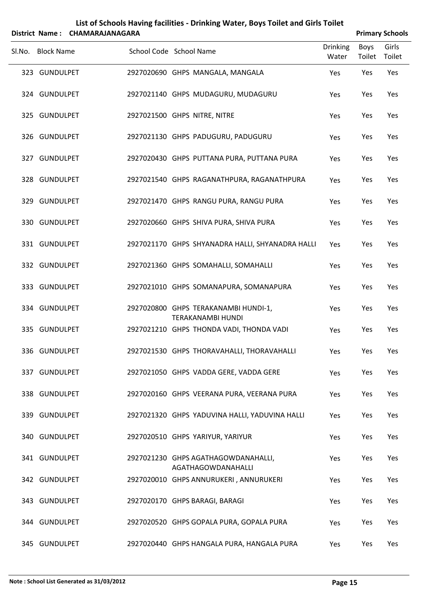|        | <b>District Name:</b> | <b>CHAMARAJANAGARA</b> |                         | List of Schools Having facilities - Drinking Water, Boys Toilet and Girls Toilet |                          |                | <b>Primary Schools</b> |
|--------|-----------------------|------------------------|-------------------------|----------------------------------------------------------------------------------|--------------------------|----------------|------------------------|
| Sl.No. | <b>Block Name</b>     |                        | School Code School Name |                                                                                  | <b>Drinking</b><br>Water | Boys<br>Toilet | Girls<br>Toilet        |
|        | 323 GUNDULPET         |                        |                         | 2927020690 GHPS MANGALA, MANGALA                                                 | Yes                      | Yes            | Yes                    |
|        | 324 GUNDULPET         |                        |                         | 2927021140 GHPS MUDAGURU, MUDAGURU                                               | Yes                      | Yes            | Yes                    |
|        | 325 GUNDULPET         |                        |                         | 2927021500 GHPS NITRE, NITRE                                                     | Yes                      | Yes            | Yes                    |
|        | 326 GUNDULPET         |                        |                         | 2927021130 GHPS PADUGURU, PADUGURU                                               | Yes                      | Yes            | Yes                    |
|        | 327 GUNDULPET         |                        |                         | 2927020430 GHPS PUTTANA PURA, PUTTANA PURA                                       | Yes                      | Yes            | Yes                    |
|        | 328 GUNDULPET         |                        |                         | 2927021540 GHPS RAGANATHPURA, RAGANATHPURA                                       | Yes                      | Yes            | Yes                    |
|        | 329 GUNDULPET         |                        |                         | 2927021470 GHPS RANGU PURA, RANGU PURA                                           | Yes                      | Yes            | Yes                    |
|        | 330 GUNDULPET         |                        |                         | 2927020660 GHPS SHIVA PURA, SHIVA PURA                                           | Yes                      | Yes            | Yes                    |
|        | 331 GUNDULPET         |                        |                         | 2927021170 GHPS SHYANADRA HALLI, SHYANADRA HALLI                                 | Yes                      | Yes            | Yes                    |
|        | 332 GUNDULPET         |                        |                         | 2927021360 GHPS SOMAHALLI, SOMAHALLI                                             | Yes                      | Yes            | Yes                    |
|        | 333 GUNDULPET         |                        |                         | 2927021010 GHPS SOMANAPURA, SOMANAPURA                                           | Yes                      | Yes            | Yes                    |
|        | 334 GUNDULPET         |                        |                         | 2927020800 GHPS TERAKANAMBI HUNDI-1,<br><b>TERAKANAMBI HUNDI</b>                 | Yes                      | Yes            | Yes                    |
|        | 335 GUNDULPET         |                        |                         | 2927021210 GHPS THONDA VADI, THONDA VADI                                         | Yes                      | Yes            | Yes                    |
|        | 336 GUNDULPET         |                        |                         | 2927021530 GHPS THORAVAHALLI, THORAVAHALLI                                       | Yes                      | Yes            | Yes                    |
|        | 337 GUNDULPET         |                        |                         | 2927021050 GHPS VADDA GERE, VADDA GERE                                           | Yes                      | Yes            | Yes                    |
|        | 338 GUNDULPET         |                        |                         | 2927020160 GHPS VEERANA PURA, VEERANA PURA                                       | Yes                      | Yes            | Yes                    |
|        | 339 GUNDULPET         |                        |                         | 2927021320 GHPS YADUVINA HALLI, YADUVINA HALLI                                   | Yes                      | Yes            | Yes                    |
|        | 340 GUNDULPET         |                        |                         | 2927020510 GHPS YARIYUR, YARIYUR                                                 | Yes                      | Yes            | Yes                    |
|        | 341 GUNDULPET         |                        |                         | 2927021230 GHPS AGATHAGOWDANAHALLI,<br>AGATHAGOWDANAHALLI                        | Yes                      | Yes            | Yes                    |
|        | 342 GUNDULPET         |                        |                         | 2927020010 GHPS ANNURUKERI, ANNURUKERI                                           | Yes                      | Yes            | Yes                    |
|        | 343 GUNDULPET         |                        |                         | 2927020170 GHPS BARAGI, BARAGI                                                   | Yes                      | Yes            | Yes                    |
|        | 344 GUNDULPET         |                        |                         | 2927020520 GHPS GOPALA PURA, GOPALA PURA                                         | Yes                      | Yes            | Yes                    |
|        | 345 GUNDULPET         |                        |                         | 2927020440 GHPS HANGALA PURA, HANGALA PURA                                       | Yes                      | Yes            | Yes                    |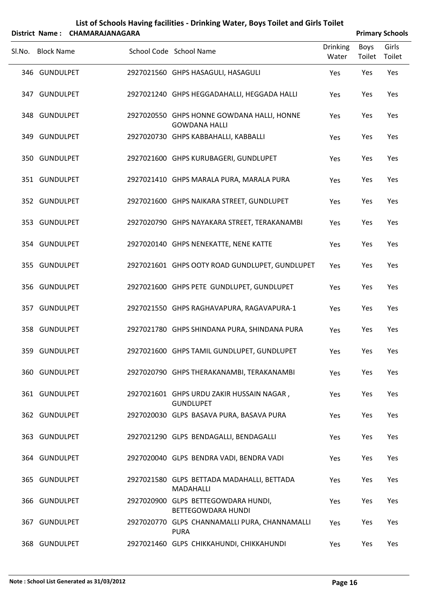|        |                   | District Name: CHAMARAJANAGARA |                                                                    |                          |                | <b>Primary Schools</b> |
|--------|-------------------|--------------------------------|--------------------------------------------------------------------|--------------------------|----------------|------------------------|
| Sl.No. | <b>Block Name</b> |                                | School Code School Name                                            | <b>Drinking</b><br>Water | Boys<br>Toilet | Girls<br>Toilet        |
|        | 346 GUNDULPET     |                                | 2927021560 GHPS HASAGULI, HASAGULI                                 | Yes                      | Yes            | Yes                    |
|        | 347 GUNDULPET     |                                | 2927021240 GHPS HEGGADAHALLI, HEGGADA HALLI                        | Yes                      | Yes            | Yes                    |
|        | 348 GUNDULPET     |                                | 2927020550 GHPS HONNE GOWDANA HALLI, HONNE<br><b>GOWDANA HALLI</b> | Yes                      | Yes            | Yes                    |
|        | 349 GUNDULPET     |                                | 2927020730 GHPS KABBAHALLI, KABBALLI                               | Yes                      | Yes            | Yes                    |
|        | 350 GUNDULPET     |                                | 2927021600 GHPS KURUBAGERI, GUNDLUPET                              | Yes                      | Yes            | Yes                    |
|        | 351 GUNDULPET     |                                | 2927021410 GHPS MARALA PURA, MARALA PURA                           | Yes                      | Yes            | Yes                    |
|        | 352 GUNDULPET     |                                | 2927021600 GHPS NAIKARA STREET, GUNDLUPET                          | Yes                      | Yes            | Yes                    |
|        | 353 GUNDULPET     |                                | 2927020790 GHPS NAYAKARA STREET, TERAKANAMBI                       | Yes                      | Yes            | Yes                    |
|        | 354 GUNDULPET     |                                | 2927020140 GHPS NENEKATTE, NENE KATTE                              | Yes                      | Yes            | Yes                    |
|        | 355 GUNDULPET     |                                | 2927021601 GHPS OOTY ROAD GUNDLUPET, GUNDLUPET                     | Yes                      | Yes            | Yes                    |
|        | 356 GUNDULPET     |                                | 2927021600 GHPS PETE GUNDLUPET, GUNDLUPET                          | Yes                      | Yes            | Yes                    |
|        | 357 GUNDULPET     |                                | 2927021550 GHPS RAGHAVAPURA, RAGAVAPURA-1                          | Yes                      | Yes            | Yes                    |
|        | 358 GUNDULPET     |                                | 2927021780 GHPS SHINDANA PURA, SHINDANA PURA                       | Yes                      | Yes            | Yes                    |
|        | 359 GUNDULPET     |                                | 2927021600 GHPS TAMIL GUNDLUPET, GUNDLUPET                         | Yes                      | Yes            | Yes                    |
|        | 360 GUNDULPET     |                                | 2927020790 GHPS THERAKANAMBI, TERAKANAMBI                          | Yes                      | Yes            | Yes                    |
|        | 361 GUNDULPET     |                                | 2927021601 GHPS URDU ZAKIR HUSSAIN NAGAR,<br><b>GUNDLUPET</b>      | Yes                      | Yes            | Yes                    |
|        | 362 GUNDULPET     |                                | 2927020030 GLPS BASAVA PURA, BASAVA PURA                           | Yes                      | Yes            | Yes                    |
|        | 363 GUNDULPET     |                                | 2927021290 GLPS BENDAGALLI, BENDAGALLI                             | Yes                      | Yes            | Yes                    |
|        | 364 GUNDULPET     |                                | 2927020040 GLPS BENDRA VADI, BENDRA VADI                           | Yes                      | Yes            | Yes                    |
|        | 365 GUNDULPET     |                                | 2927021580 GLPS BETTADA MADAHALLI, BETTADA<br><b>MADAHALLI</b>     | Yes                      | Yes            | Yes                    |
|        | 366 GUNDULPET     |                                | 2927020900 GLPS BETTEGOWDARA HUNDI,<br>BETTEGOWDARA HUNDI          | Yes                      | Yes            | Yes                    |
|        | 367 GUNDULPET     |                                | 2927020770 GLPS CHANNAMALLI PURA, CHANNAMALLI<br><b>PURA</b>       | Yes                      | Yes            | Yes                    |

368 GUNDULPET 2927021460 GLPS CHIKKAHUNDI, CHIKKAHUNDI Yes Yes Yes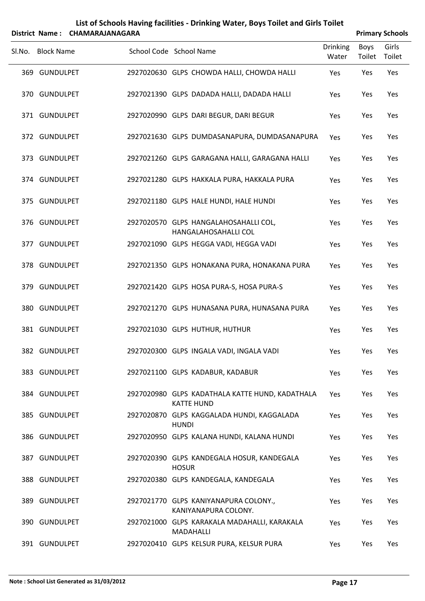| List of Schools Having facilities - Drinking Water, Boys Toilet and Girls Toilet |                        |
|----------------------------------------------------------------------------------|------------------------|
| District Name: CHAMARAIANAGARA                                                   | <b>Primary Schools</b> |

|                   | DISTICT NAME: CHAIVIARAJANAGARA |                         |              |                                                                      |                          |                | <b>Primary Schools</b> |
|-------------------|---------------------------------|-------------------------|--------------|----------------------------------------------------------------------|--------------------------|----------------|------------------------|
| Sl.No. Block Name |                                 | School Code School Name |              |                                                                      | <b>Drinking</b><br>Water | Boys<br>Toilet | Girls<br>Toilet        |
| 369 GUNDULPET     |                                 |                         |              | 2927020630 GLPS CHOWDA HALLI, CHOWDA HALLI                           | Yes                      | Yes            | Yes                    |
| 370 GUNDULPET     |                                 |                         |              | 2927021390 GLPS DADADA HALLI, DADADA HALLI                           | Yes                      | Yes            | Yes                    |
| 371 GUNDULPET     |                                 |                         |              | 2927020990 GLPS DARI BEGUR, DARI BEGUR                               | Yes                      | Yes            | Yes                    |
| 372 GUNDULPET     |                                 |                         |              | 2927021630 GLPS DUMDASANAPURA, DUMDASANAPURA                         | Yes                      | Yes            | Yes                    |
| 373 GUNDULPET     |                                 |                         |              | 2927021260 GLPS GARAGANA HALLI, GARAGANA HALLI                       | Yes                      | Yes            | Yes                    |
| 374 GUNDULPET     |                                 |                         |              | 2927021280 GLPS HAKKALA PURA, HAKKALA PURA                           | Yes                      | Yes            | Yes                    |
| 375 GUNDULPET     |                                 |                         |              | 2927021180 GLPS HALE HUNDI, HALE HUNDI                               | Yes                      | Yes            | Yes                    |
| 376 GUNDULPET     |                                 |                         |              | 2927020570 GLPS HANGALAHOSAHALLI COL,<br>HANGALAHOSAHALLI COL        | Yes                      | Yes            | Yes                    |
| 377 GUNDULPET     |                                 |                         |              | 2927021090 GLPS HEGGA VADI, HEGGA VADI                               | Yes                      | Yes            | Yes                    |
| 378 GUNDULPET     |                                 |                         |              | 2927021350 GLPS HONAKANA PURA, HONAKANA PURA                         | Yes                      | Yes            | Yes                    |
| 379 GUNDULPET     |                                 |                         |              | 2927021420 GLPS HOSA PURA-S, HOSA PURA-S                             | Yes                      | Yes            | Yes                    |
| 380 GUNDULPET     |                                 |                         |              | 2927021270 GLPS HUNASANA PURA, HUNASANA PURA                         | Yes                      | Yes            | Yes                    |
| 381 GUNDULPET     |                                 |                         |              | 2927021030 GLPS HUTHUR, HUTHUR                                       | Yes                      | Yes            | Yes                    |
| 382 GUNDULPET     |                                 |                         |              | 2927020300 GLPS INGALA VADI, INGALA VADI                             | Yes                      | Yes            | Yes                    |
| 383 GUNDULPET     |                                 |                         |              | 2927021100 GLPS KADABUR, KADABUR                                     | Yes                      | Yes            | Yes                    |
| 384 GUNDULPET     |                                 |                         |              | 2927020980 GLPS KADATHALA KATTE HUND, KADATHALA<br><b>KATTE HUND</b> | Yes                      | Yes            | Yes                    |
| 385 GUNDULPET     |                                 |                         | <b>HUNDI</b> | 2927020870 GLPS KAGGALADA HUNDI, KAGGALADA                           | Yes                      | Yes            | Yes                    |
| 386 GUNDULPET     |                                 |                         |              | 2927020950 GLPS KALANA HUNDI, KALANA HUNDI                           | Yes                      | Yes            | Yes                    |
| 387 GUNDULPET     |                                 |                         | <b>HOSUR</b> | 2927020390 GLPS KANDEGALA HOSUR, KANDEGALA                           | Yes                      | Yes            | Yes                    |
| 388 GUNDULPET     |                                 |                         |              | 2927020380 GLPS KANDEGALA, KANDEGALA                                 | Yes                      | Yes            | Yes                    |
| 389 GUNDULPET     |                                 |                         |              | 2927021770 GLPS KANIYANAPURA COLONY.,<br>KANIYANAPURA COLONY.        | Yes                      | Yes            | Yes                    |
| 390 GUNDULPET     |                                 |                         |              | 2927021000 GLPS KARAKALA MADAHALLI, KARAKALA<br>MADAHALLI            | <b>Yes</b>               | Yes            | Yes                    |
| 391 GUNDULPET     |                                 |                         |              | 2927020410 GLPS KELSUR PURA, KELSUR PURA                             | Yes                      | Yes            | Yes                    |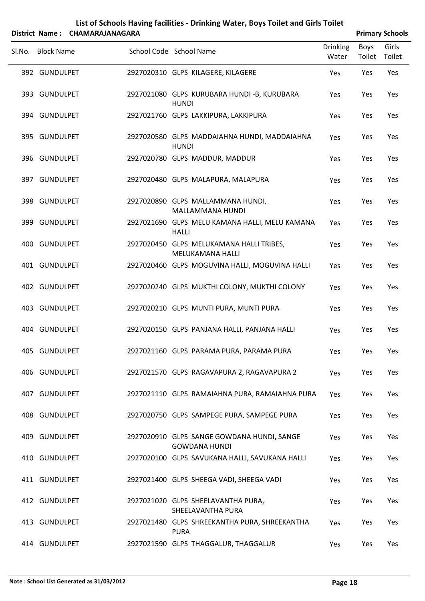| List of Schools Having facilities - Drinking Water, Boys Toilet and Girls Toilet |                        |
|----------------------------------------------------------------------------------|------------------------|
| District Name: CHAMARAJANAGARA                                                   | <b>Primary Schools</b> |

|                   |                                                                    |                          |                | <b>THING Y SCHOOLS</b> |
|-------------------|--------------------------------------------------------------------|--------------------------|----------------|------------------------|
| Sl.No. Block Name | School Code School Name                                            | <b>Drinking</b><br>Water | Boys<br>Toilet | Girls<br>Toilet        |
| 392 GUNDULPET     | 2927020310 GLPS KILAGERE, KILAGERE                                 | Yes                      | Yes            | Yes                    |
| 393 GUNDULPET     | 2927021080 GLPS KURUBARA HUNDI-B, KURUBARA<br><b>HUNDI</b>         | Yes                      | Yes            | Yes                    |
| 394 GUNDULPET     | 2927021760 GLPS LAKKIPURA, LAKKIPURA                               | Yes                      | Yes            | Yes                    |
| 395 GUNDULPET     | 2927020580 GLPS MADDAIAHNA HUNDI, MADDAIAHNA<br><b>HUNDI</b>       | Yes                      | Yes            | Yes                    |
| 396 GUNDULPET     | 2927020780 GLPS MADDUR, MADDUR                                     | Yes                      | Yes            | Yes                    |
| 397 GUNDULPET     | 2927020480 GLPS MALAPURA, MALAPURA                                 | Yes                      | Yes            | Yes                    |
| 398 GUNDULPET     | 2927020890 GLPS MALLAMMANA HUNDI,<br>MALLAMMANA HUNDI              | Yes                      | Yes            | Yes                    |
| 399 GUNDULPET     | 2927021690 GLPS MELU KAMANA HALLI, MELU KAMANA<br><b>HALLI</b>     | Yes                      | Yes            | Yes                    |
| 400 GUNDULPET     | 2927020450 GLPS MELUKAMANA HALLI TRIBES,<br>MELUKAMANA HALLI       | Yes                      | Yes            | Yes                    |
| 401 GUNDULPET     | 2927020460 GLPS MOGUVINA HALLI, MOGUVINA HALLI                     | Yes                      | Yes            | Yes                    |
| 402 GUNDULPET     | 2927020240 GLPS MUKTHI COLONY, MUKTHI COLONY                       | Yes                      | Yes            | Yes                    |
| 403 GUNDULPET     | 2927020210 GLPS MUNTI PURA, MUNTI PURA                             | Yes                      | Yes            | Yes                    |
| 404 GUNDULPET     | 2927020150 GLPS PANJANA HALLI, PANJANA HALLI                       | Yes                      | Yes            | Yes                    |
| 405 GUNDULPET     | 2927021160 GLPS PARAMA PURA, PARAMA PURA                           | Yes                      | Yes            | Yes                    |
| 406 GUNDULPET     | 2927021570 GLPS RAGAVAPURA 2, RAGAVAPURA 2                         | Yes                      | Yes            | Yes                    |
| 407 GUNDULPET     | 2927021110 GLPS RAMAIAHNA PURA, RAMAIAHNA PURA                     | Yes                      | Yes            | Yes                    |
| 408 GUNDULPET     | 2927020750 GLPS SAMPEGE PURA, SAMPEGE PURA                         | Yes                      | Yes            | Yes                    |
| 409 GUNDULPET     | 2927020910 GLPS SANGE GOWDANA HUNDI, SANGE<br><b>GOWDANA HUNDI</b> | Yes                      | Yes            | Yes                    |
| 410 GUNDULPET     | 2927020100 GLPS SAVUKANA HALLI, SAVUKANA HALLI                     | Yes                      | Yes            | Yes                    |
| 411 GUNDULPET     | 2927021400 GLPS SHEEGA VADI, SHEEGA VADI                           | Yes                      | Yes            | Yes                    |
| 412 GUNDULPET     | 2927021020 GLPS SHEELAVANTHA PURA,<br>SHEELAVANTHA PURA            | Yes                      | Yes            | Yes                    |
| 413 GUNDULPET     | 2927021480 GLPS SHREEKANTHA PURA, SHREEKANTHA<br><b>PURA</b>       | Yes                      | Yes            | Yes                    |
| 414 GUNDULPET     | 2927021590 GLPS THAGGALUR, THAGGALUR                               | Yes                      | Yes            | Yes                    |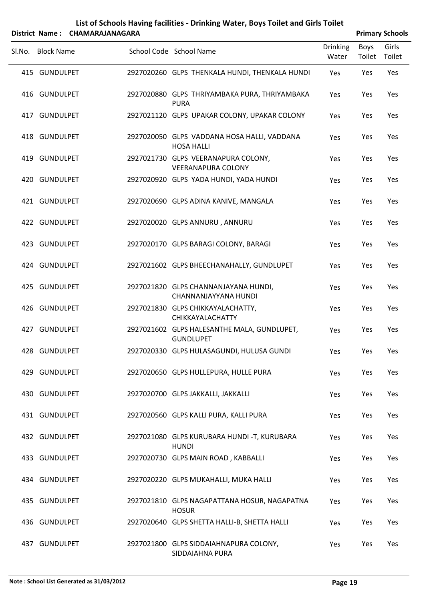|        |                   | District Name: CHAMARAJANAGARA |                                                                  |                          |                | <b>Primary Schools</b> |
|--------|-------------------|--------------------------------|------------------------------------------------------------------|--------------------------|----------------|------------------------|
| Sl.No. | <b>Block Name</b> |                                | School Code School Name                                          | <b>Drinking</b><br>Water | Boys<br>Toilet | Girls<br>Toilet        |
|        | 415 GUNDULPET     |                                | 2927020260 GLPS THENKALA HUNDI, THENKALA HUNDI                   | Yes                      | Yes            | Yes                    |
|        | 416 GUNDULPET     |                                | 2927020880 GLPS THRIYAMBAKA PURA, THRIYAMBAKA<br><b>PURA</b>     | Yes                      | Yes            | Yes                    |
|        | 417 GUNDULPET     |                                | 2927021120 GLPS UPAKAR COLONY, UPAKAR COLONY                     | Yes                      | Yes            | Yes                    |
|        | 418 GUNDULPET     |                                | 2927020050 GLPS VADDANA HOSA HALLI, VADDANA<br><b>HOSA HALLI</b> | Yes                      | Yes            | Yes                    |
|        | 419 GUNDULPET     |                                | 2927021730 GLPS VEERANAPURA COLONY,<br><b>VEERANAPURA COLONY</b> | Yes                      | Yes            | Yes                    |
|        | 420 GUNDULPET     |                                | 2927020920 GLPS YADA HUNDI, YADA HUNDI                           | Yes                      | Yes            | Yes                    |
|        | 421 GUNDULPET     |                                | 2927020690 GLPS ADINA KANIVE, MANGALA                            | Yes                      | Yes            | Yes                    |
|        | 422 GUNDULPET     |                                | 2927020020 GLPS ANNURU, ANNURU                                   | Yes                      | Yes            | Yes                    |
|        | 423 GUNDULPET     |                                | 2927020170 GLPS BARAGI COLONY, BARAGI                            | Yes                      | Yes            | Yes                    |
|        | 424 GUNDULPET     |                                | 2927021602 GLPS BHEECHANAHALLY, GUNDLUPET                        | Yes                      | Yes            | Yes                    |
|        | 425 GUNDULPET     |                                | 2927021820 GLPS CHANNANJAYANA HUNDI,<br>CHANNANJAYYANA HUNDI     | Yes                      | Yes            | Yes                    |
|        | 426 GUNDULPET     |                                | 2927021830 GLPS CHIKKAYALACHATTY,<br>CHIKKAYALACHATTY            | Yes                      | Yes            | Yes                    |
|        | 427 GUNDULPET     |                                | 2927021602 GLPS HALESANTHE MALA, GUNDLUPET,<br><b>GUNDLUPET</b>  | Yes                      | Yes            | Yes                    |
|        | 428 GUNDULPET     |                                | 2927020330 GLPS HULASAGUNDI, HULUSA GUNDI                        | Yes                      | Yes            | Yes                    |
|        | 429 GUNDULPET     |                                | 2927020650 GLPS HULLEPURA, HULLE PURA                            | Yes                      | Yes            | Yes                    |
|        | 430 GUNDULPET     |                                | 2927020700 GLPS JAKKALLI, JAKKALLI                               | Yes                      | Yes            | Yes                    |
|        | 431 GUNDULPET     |                                | 2927020560 GLPS KALLI PURA, KALLI PURA                           | Yes                      | Yes            | Yes                    |
|        | 432 GUNDULPET     |                                | 2927021080 GLPS KURUBARA HUNDI -T, KURUBARA<br><b>HUNDI</b>      | Yes                      | Yes            | Yes                    |
|        | 433 GUNDULPET     |                                | 2927020730 GLPS MAIN ROAD, KABBALLI                              | Yes                      | Yes            | Yes                    |
|        | 434 GUNDULPET     |                                | 2927020220 GLPS MUKAHALLI, MUKA HALLI                            | Yes                      | Yes            | Yes                    |
|        | 435 GUNDULPET     |                                | 2927021810 GLPS NAGAPATTANA HOSUR, NAGAPATNA<br><b>HOSUR</b>     | Yes                      | Yes            | Yes                    |
|        | 436 GUNDULPET     |                                | 2927020640 GLPS SHETTA HALLI-B, SHETTA HALLI                     | Yes                      | Yes            | Yes                    |
|        | 437 GUNDULPET     |                                | 2927021800 GLPS SIDDAIAHNAPURA COLONY,<br>SIDDAIAHNA PURA        | Yes                      | Yes            | Yes                    |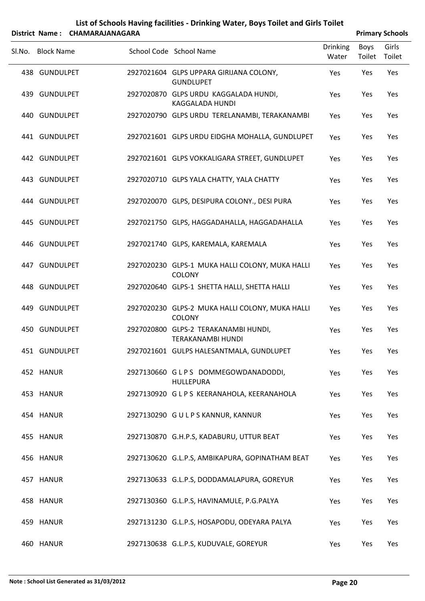| List of Schools Having facilities - Drinking Water, Boys Toilet and Girls Toilet |
|----------------------------------------------------------------------------------|
| trict Nome . CUARAADAIANACADA                                                    |

|        |                   | District Name: CHAMARAJANAGARA |                                                                  |                          |                | <b>Primary Schools</b> |
|--------|-------------------|--------------------------------|------------------------------------------------------------------|--------------------------|----------------|------------------------|
| Sl.No. | <b>Block Name</b> |                                | School Code School Name                                          | <b>Drinking</b><br>Water | Boys<br>Toilet | Girls<br>Toilet        |
|        | 438 GUNDULPET     |                                | 2927021604 GLPS UPPARA GIRIJANA COLONY,<br><b>GUNDLUPET</b>      | Yes                      | Yes            | Yes                    |
|        | 439 GUNDULPET     |                                | 2927020870 GLPS URDU KAGGALADA HUNDI,<br><b>KAGGALADA HUNDI</b>  | Yes                      | Yes            | Yes                    |
|        | 440 GUNDULPET     |                                | 2927020790 GLPS URDU TERELANAMBI, TERAKANAMBI                    | Yes                      | Yes            | Yes                    |
|        | 441 GUNDULPET     |                                | 2927021601 GLPS URDU EIDGHA MOHALLA, GUNDLUPET                   | Yes                      | Yes            | Yes                    |
|        | 442 GUNDULPET     |                                | 2927021601 GLPS VOKKALIGARA STREET, GUNDLUPET                    | Yes                      | Yes            | Yes                    |
|        | 443 GUNDULPET     |                                | 2927020710 GLPS YALA CHATTY, YALA CHATTY                         | Yes                      | Yes            | Yes                    |
|        | 444 GUNDULPET     |                                | 2927020070 GLPS, DESIPURA COLONY., DESI PURA                     | Yes                      | Yes            | Yes                    |
|        | 445 GUNDULPET     |                                | 2927021750 GLPS, HAGGADAHALLA, HAGGADAHALLA                      | Yes                      | Yes            | Yes                    |
|        | 446 GUNDULPET     |                                | 2927021740 GLPS, KAREMALA, KAREMALA                              | Yes                      | Yes            | Yes                    |
|        | 447 GUNDULPET     |                                | 2927020230 GLPS-1 MUKA HALLI COLONY, MUKA HALLI<br><b>COLONY</b> | Yes                      | Yes            | Yes                    |
|        | 448 GUNDULPET     |                                | 2927020640 GLPS-1 SHETTA HALLI, SHETTA HALLI                     | Yes                      | Yes            | Yes                    |
|        | 449 GUNDULPET     |                                | 2927020230 GLPS-2 MUKA HALLI COLONY, MUKA HALLI<br>COLONY        | Yes                      | Yes            | Yes                    |
|        | 450 GUNDULPET     |                                | 2927020800 GLPS-2 TERAKANAMBI HUNDI,<br><b>TERAKANAMBI HUNDI</b> | Yes                      | Yes            | Yes                    |
|        | 451 GUNDULPET     |                                | 2927021601 GULPS HALESANTMALA, GUNDLUPET                         | Yes                      | Yes            | Yes                    |
|        | 452 HANUR         |                                | 2927130660 GLPS DOMMEGOWDANADODDI,<br><b>HULLEPURA</b>           | Yes                      | Yes            | Yes                    |
|        | 453 HANUR         |                                | 2927130920 GLPS KEERANAHOLA, KEERANAHOLA                         | Yes                      | Yes            | Yes                    |
|        | 454 HANUR         |                                | 2927130290 GULPS KANNUR, KANNUR                                  | Yes                      | Yes            | Yes                    |
|        | 455 HANUR         |                                | 2927130870 G.H.P.S, KADABURU, UTTUR BEAT                         | Yes                      | Yes            | Yes                    |
|        | 456 HANUR         |                                | 2927130620 G.L.P.S, AMBIKAPURA, GOPINATHAM BEAT                  | Yes                      | Yes            | Yes                    |
|        | 457 HANUR         |                                | 2927130633 G.L.P.S, DODDAMALAPURA, GOREYUR                       | Yes                      | Yes            | Yes                    |
|        | 458 HANUR         |                                | 2927130360 G.L.P.S, HAVINAMULE, P.G.PALYA                        | Yes                      | Yes            | Yes                    |
|        | 459 HANUR         |                                | 2927131230 G.L.P.S, HOSAPODU, ODEYARA PALYA                      | Yes                      | Yes            | Yes                    |
|        | 460 HANUR         |                                | 2927130638 G.L.P.S, KUDUVALE, GOREYUR                            | Yes                      | Yes            | Yes                    |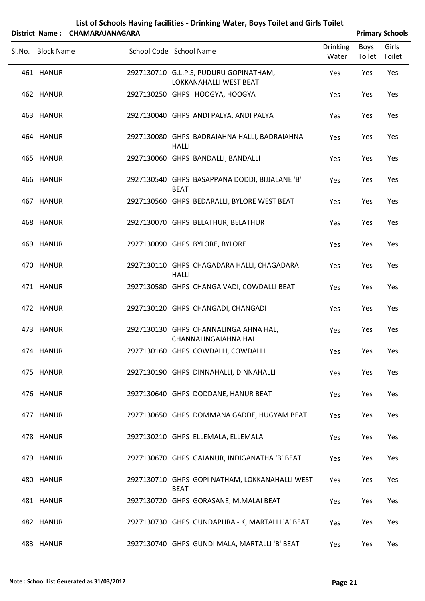| List of Schools Having facilities - Drinking Water, Boys Toilet and Girls Toilet |
|----------------------------------------------------------------------------------|
| ------------------                                                               |

| District Name: CHAMARAJANAGARA |                                                                      | <b>Primary Schools</b>   |                       |       |  |  |  |
|--------------------------------|----------------------------------------------------------------------|--------------------------|-----------------------|-------|--|--|--|
| Sl.No. Block Name              | School Code School Name                                              | <b>Drinking</b><br>Water | Boys<br>Toilet Toilet | Girls |  |  |  |
| 461 HANUR                      | 2927130710 G.L.P.S, PUDURU GOPINATHAM,<br>LOKKANAHALLI WEST BEAT     | Yes                      | Yes                   | Yes   |  |  |  |
| 462 HANUR                      | 2927130250 GHPS HOOGYA, HOOGYA                                       | Yes                      | Yes                   | Yes   |  |  |  |
| 463 HANUR                      | 2927130040 GHPS ANDI PALYA, ANDI PALYA                               | Yes                      | Yes                   | Yes   |  |  |  |
| 464 HANUR                      | 2927130080 GHPS BADRAIAHNA HALLI, BADRAIAHNA<br><b>HALLI</b>         | Yes                      | Yes                   | Yes   |  |  |  |
| 465 HANUR                      | 2927130060 GHPS BANDALLI, BANDALLI                                   | Yes                      | Yes                   | Yes   |  |  |  |
| 466 HANUR                      | 2927130540 GHPS BASAPPANA DODDI, BIJJALANE 'B'<br><b>BEAT</b>        | Yes                      | Yes                   | Yes   |  |  |  |
| 467 HANUR                      | 2927130560 GHPS BEDARALLI, BYLORE WEST BEAT                          | Yes                      | Yes                   | Yes   |  |  |  |
| 468 HANUR                      | 2927130070 GHPS BELATHUR, BELATHUR                                   | Yes                      | Yes                   | Yes   |  |  |  |
| 469 HANUR                      | 2927130090 GHPS BYLORE, BYLORE                                       | Yes                      | Yes                   | Yes   |  |  |  |
| 470 HANUR                      | 2927130110 GHPS CHAGADARA HALLI, CHAGADARA<br><b>HALLI</b>           | Yes                      | Yes                   | Yes   |  |  |  |
| 471 HANUR                      | 2927130580 GHPS CHANGA VADI, COWDALLI BEAT                           | Yes                      | Yes                   | Yes   |  |  |  |
| 472 HANUR                      | 2927130120 GHPS CHANGADI, CHANGADI                                   | Yes                      | Yes                   | Yes   |  |  |  |
| 473 HANUR                      | 2927130130 GHPS CHANNALINGAIAHNA HAL,<br><b>CHANNALINGAIAHNA HAL</b> | Yes                      | Yes                   | Yes   |  |  |  |
| 474 HANUR                      | 2927130160 GHPS COWDALLI, COWDALLI                                   | Yes                      | Yes                   | Yes   |  |  |  |
| 475 HANUR                      | 2927130190 GHPS DINNAHALLI, DINNAHALLI                               | Yes                      | Yes                   | Yes   |  |  |  |
| 476 HANUR                      | 2927130640 GHPS DODDANE, HANUR BEAT                                  | Yes                      | Yes                   | Yes   |  |  |  |
| 477 HANUR                      | 2927130650 GHPS DOMMANA GADDE, HUGYAM BEAT                           | Yes                      | Yes                   | Yes   |  |  |  |
| 478 HANUR                      | 2927130210 GHPS ELLEMALA, ELLEMALA                                   | Yes                      | Yes                   | Yes   |  |  |  |
| 479 HANUR                      | 2927130670 GHPS GAJANUR, INDIGANATHA 'B' BEAT                        | Yes                      | Yes                   | Yes   |  |  |  |
| 480 HANUR                      | 2927130710 GHPS GOPI NATHAM, LOKKANAHALLI WEST<br><b>BEAT</b>        | Yes                      | Yes                   | Yes   |  |  |  |
| 481 HANUR                      | 2927130720 GHPS GORASANE, M.MALAI BEAT                               | Yes                      | Yes                   | Yes   |  |  |  |
| 482 HANUR                      | 2927130730 GHPS GUNDAPURA - K, MARTALLI 'A' BEAT                     | Yes                      | Yes                   | Yes   |  |  |  |
| 483 HANUR                      | 2927130740 GHPS GUNDI MALA, MARTALLI 'B' BEAT                        | Yes                      | Yes                   | Yes   |  |  |  |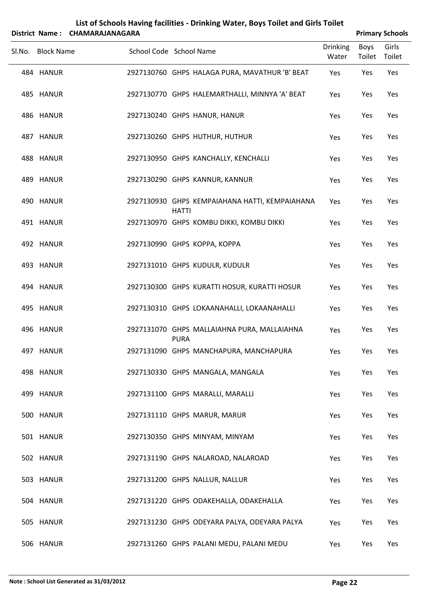|                        | District Name: CHAMARAJANAGARA |              |                                                                      |                          |                | <b>Primary Schools</b> |
|------------------------|--------------------------------|--------------|----------------------------------------------------------------------|--------------------------|----------------|------------------------|
| Sl.No. Block Name      | School Code School Name        |              |                                                                      | <b>Drinking</b><br>Water | Boys<br>Toilet | Girls<br>Toilet        |
| 484 HANUR              |                                |              | 2927130760 GHPS HALAGA PURA, MAVATHUR 'B' BEAT                       | Yes                      | Yes            | Yes                    |
| 485 HANUR              |                                |              | 2927130770 GHPS HALEMARTHALLI, MINNYA 'A' BEAT                       | Yes                      | Yes            | Yes                    |
| 486 HANUR              |                                |              | 2927130240 GHPS HANUR, HANUR                                         | Yes                      | Yes            | Yes                    |
| 487 HANUR              |                                |              | 2927130260 GHPS HUTHUR, HUTHUR                                       | Yes                      | Yes            | Yes                    |
| 488 HANUR              |                                |              | 2927130950 GHPS KANCHALLY, KENCHALLI                                 | Yes                      | Yes            | Yes                    |
| 489 HANUR              |                                |              | 2927130290 GHPS KANNUR, KANNUR                                       | Yes                      | Yes            | Yes                    |
| 490 HANUR              |                                | <b>HATTI</b> | 2927130930 GHPS KEMPAIAHANA HATTI, KEMPAIAHANA                       | Yes                      | Yes            | Yes                    |
| 491 HANUR              |                                |              | 2927130970 GHPS KOMBU DIKKI, KOMBU DIKKI                             | Yes                      | Yes            | Yes                    |
| 492 HANUR              |                                |              | 2927130990 GHPS KOPPA, KOPPA                                         | Yes                      | Yes            | Yes                    |
| 493 HANUR              |                                |              | 2927131010 GHPS KUDULR, KUDULR                                       | Yes                      | Yes            | Yes                    |
| 494 HANUR              |                                |              | 2927130300 GHPS KURATTI HOSUR, KURATTI HOSUR                         | Yes                      | Yes            | Yes                    |
| 495 HANUR              |                                |              | 2927130310 GHPS LOKAANAHALLI, LOKAANAHALLI                           | Yes                      | Yes            | Yes                    |
| 496 HANUR              |                                | <b>PURA</b>  | 2927131070 GHPS MALLAIAHNA PURA, MALLAIAHNA                          | Yes                      | Yes            | Yes                    |
| 497 HANUR              |                                |              | 2927131090 GHPS MANCHAPURA, MANCHAPURA                               | Yes                      | Yes            | Yes                    |
| 498 HANUR              |                                |              | 2927130330 GHPS MANGALA, MANGALA                                     | Yes                      | Yes            | Yes                    |
| 499 HANUR              |                                |              | 2927131100 GHPS MARALLI, MARALLI                                     | Yes                      | Yes            | Yes                    |
| 500 HANUR              |                                |              | 2927131110 GHPS MARUR, MARUR                                         | Yes                      | Yes            | Yes                    |
| 501 HANUR              |                                |              | 2927130350 GHPS MINYAM, MINYAM<br>2927131190 GHPS NALAROAD, NALAROAD | Yes                      | Yes            | Yes                    |
| 502 HANUR<br>503 HANUR |                                |              | 2927131200 GHPS NALLUR, NALLUR                                       | Yes                      | Yes<br>Yes     | Yes<br>Yes             |
| 504 HANUR              |                                |              | 2927131220 GHPS ODAKEHALLA, ODAKEHALLA                               | Yes<br>Yes               | Yes            | Yes                    |
| 505 HANUR              |                                |              | 2927131230 GHPS ODEYARA PALYA, ODEYARA PALYA                         | Yes                      | Yes            | Yes                    |
|                        |                                |              |                                                                      |                          |                |                        |

HANUR 2927131260 GHPS PALANI MEDU, PALANI MEDU Yes Yes Yes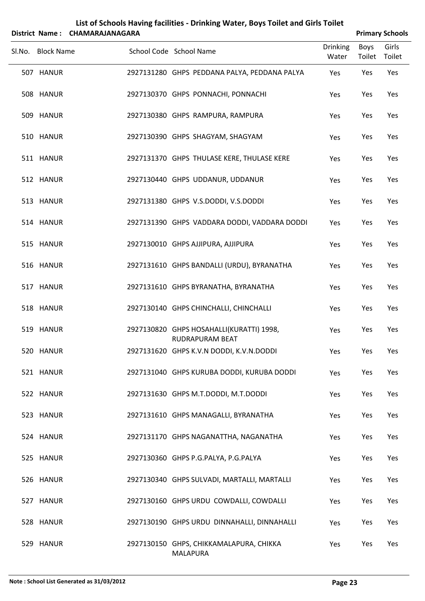| District Name:    | CHAMARAJANAGARA | List of Schools Having facilities - Drinking Water, Boys Toilet and Girls Toilet |                          |                       | <b>Primary Schools</b> |
|-------------------|-----------------|----------------------------------------------------------------------------------|--------------------------|-----------------------|------------------------|
| Sl.No. Block Name |                 | School Code School Name                                                          | <b>Drinking</b><br>Water | <b>Boys</b><br>Toilet | Girls<br>Toilet        |
| 507 HANUR         |                 | 2927131280 GHPS PEDDANA PALYA, PEDDANA PALYA                                     | Yes                      | Yes                   | Yes                    |
| 508 HANUR         |                 | 2927130370 GHPS PONNACHI, PONNACHI                                               | Yes                      | Yes                   | Yes                    |
| 509 HANUR         |                 | 2927130380 GHPS RAMPURA, RAMPURA                                                 | Yes                      | Yes                   | Yes                    |
| 510 HANUR         |                 | 2927130390 GHPS SHAGYAM, SHAGYAM                                                 | Yes                      | Yes                   | Yes                    |
| 511 HANUR         |                 | 2927131370 GHPS THULASE KERE, THULASE KERE                                       | Yes                      | Yes                   | Yes                    |
| 512 HANUR         |                 | 2927130440 GHPS UDDANUR, UDDANUR                                                 | Yes                      | Yes                   | Yes                    |
| 513 HANUR         |                 | 2927131380 GHPS V.S.DODDI, V.S.DODDI                                             | Yes                      | Yes                   | Yes                    |
| 514 HANUR         |                 | 2927131390 GHPS VADDARA DODDI, VADDARA DODDI                                     | Yes                      | Yes                   | Yes                    |
| 515 HANUR         |                 | 2927130010 GHPS AJJIPURA, AJJIPURA                                               | Yes                      | Yes                   | Yes                    |
| 516 HANUR         |                 | 2927131610 GHPS BANDALLI (URDU), BYRANATHA                                       | Yes                      | Yes                   | Yes                    |
| 517 HANUR         |                 | 2927131610 GHPS BYRANATHA, BYRANATHA                                             | Yes                      | Yes                   | Yes                    |
| 518 HANUR         |                 | 2927130140 GHPS CHINCHALLI, CHINCHALLI                                           | Yes                      | Yes                   | Yes                    |
| 519 HANUR         |                 | 2927130820 GHPS HOSAHALLI(KURATTI) 1998,<br>RUDRAPURAM BEAT                      | Yes                      | Yes                   | Yes                    |
| 520 HANUR         |                 | 2927131620 GHPS K.V.N DODDI, K.V.N.DODDI                                         | Yes                      | Yes                   | Yes                    |
| 521 HANUR         |                 | 2927131040 GHPS KURUBA DODDI, KURUBA DODDI                                       | Yes                      | Yes                   | Yes                    |
| 522 HANUR         |                 | 2927131630 GHPS M.T.DODDI, M.T.DODDI                                             | Yes                      | Yes                   | Yes                    |
| 523 HANUR         |                 | 2927131610 GHPS MANAGALLI, BYRANATHA                                             | Yes                      | Yes                   | Yes                    |
| 524 HANUR         |                 | 2927131170 GHPS NAGANATTHA, NAGANATHA                                            | Yes                      | Yes                   | Yes                    |
| 525 HANUR         |                 | 2927130360 GHPS P.G.PALYA, P.G.PALYA                                             | Yes                      | Yes                   | Yes                    |
| 526 HANUR         |                 | 2927130340 GHPS SULVADI, MARTALLI, MARTALLI                                      | Yes                      | Yes                   | Yes                    |
| 527 HANUR         |                 | 2927130160 GHPS URDU COWDALLI, COWDALLI                                          | Yes                      | Yes                   | Yes                    |
| 528 HANUR         |                 | 2927130190 GHPS URDU DINNAHALLI, DINNAHALLI                                      | Yes                      | Yes                   | Yes                    |
| 529 HANUR         |                 | 2927130150 GHPS, CHIKKAMALAPURA, CHIKKA<br><b>MALAPURA</b>                       | Yes                      | Yes                   | Yes                    |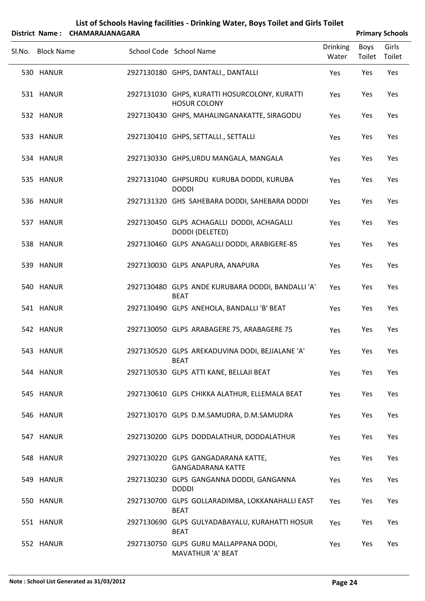SLNo. Block Name School Code School Name Drinking Water Boys Toilet Girls Toilet **District Name: CHAMARAJANAGARA Primary Primary Primary Primary Primary Primary Primary Primary Primary Primary Primary Primary Primary Primary Primary Primary Primary Primary Primary** 530 HANUR 2927130180 GHPS, DANTALI., DANTALLI Yes Yes Yes HANUR 2927131030 GHPS, KURATTI HOSURCOLONY, KURATTI 531 Yes Yes Yes HOSUR COLONY 532 HANUR 2927130430 GHPS, MAHALINGANAKATTE, SIRAGODU Yes Yes Yes 533 HANUR 2927130410 GHPS, SETTALLI., SETTALLI Yes Yes Yes 534 HANUR 2927130330 GHPS,URDU MANGALA, MANGALA Yes Yes Yes HANUR 2927131040 GHPSURDU KURUBA DODDI, KURUBA 535 Yes Yes Yes DODDI 536 HANUR 2927131320 GHS SAHEBARA DODDI, SAHEBARA DODDI Yes Yes Yes HANUR 2927130450 GLPS ACHAGALLI DODDI, ACHAGALLI 537 Yes Yes Yes DODDI (DELETED) 538 HANUR 2927130460 GLPS ANAGALLI DODDI, ARABIGERE‐85 Yes Yes Yes 539 HANUR 2927130030 GLPS ANAPURA, ANAPURA Yes Yes Yes HANUR 2927130480 GLPS ANDE KURUBARA DODDI, BANDALLI 'A' 540 Yes Yes Yes BEAT 541 HANUR 2927130490 GLPS ANEHOLA, BANDALLI 'B' BEAT Yes Yes Yes 542 HANUR 2927130050 GLPS ARABAGERE 75, ARABAGERE 75 Yes Yes Yes HANUR 2927130520 GLPS AREKADUVINA DODI, BEJJALANE 'A' 543 Yes Yes Yes BEAT 544 HANUR 2927130530 GLPS ATTI KANE, BELLAJI BEAT Yes Yes Yes 545 HANUR 2927130610 GLPS CHIKKA ALATHUR, ELLEMALA BEAT Yes Yes Yes 546 HANUR 2927130170 GLPS D.M.SAMUDRA, D.M.SAMUDRA Yes Yes Yes 547 HANUR 2927130200 GLPS DODDALATHUR, DODDALATHUR Yes Yes Yes HANUR 2927130220 GLPS GANGADARANA KATTE, 548 Yes Yes Yes GANGADARANA KATTE HANUR 2927130230 GLPS GANGANNA DODDI, GANGANNA 549 Yes Yes Yes DODDI HANUR 2927130700 GLPS GOLLARADIMBA, LOKKANAHALLI EAST 550 Yes Yes Yes BEAT HANUR 2927130690 GLPS GULYADABAYALU, KURAHATTI HOSUR 551 Yes Yes Yes BEAT HANUR 2927130750 GLPS GURU MALLAPPANA DODI, 552 Yes Yes Yes MAVATHUR 'A' BEAT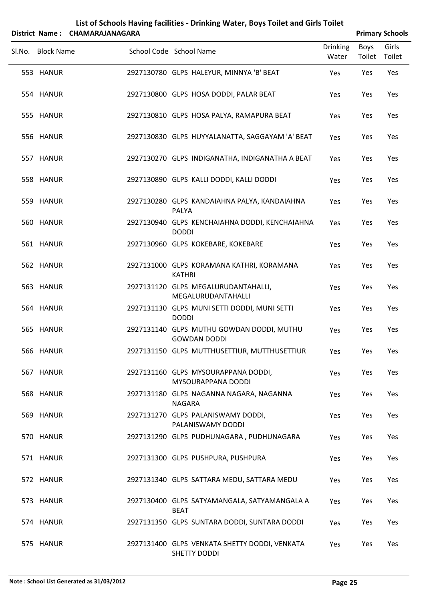| List of Schools Having facilities - Drinking Water, Boys Toilet and Girls Toilet |
|----------------------------------------------------------------------------------|
| District Name: CHAMARAIANAGARA                                                   |

| <b>Primary Schools</b> |
|------------------------|
|                        |

| PISLIILL INGIIIC .<br><b>CHAIVIANAJAIVAOANA</b> |                                                                      |                          |                | Fillindiy Juliuuls |
|-------------------------------------------------|----------------------------------------------------------------------|--------------------------|----------------|--------------------|
| Sl.No. Block Name                               | School Code School Name                                              | <b>Drinking</b><br>Water | Boys<br>Toilet | Girls<br>Toilet    |
| 553 HANUR                                       | 2927130780 GLPS HALEYUR, MINNYA 'B' BEAT                             | Yes                      | Yes            | Yes                |
| 554 HANUR                                       | 2927130800 GLPS HOSA DODDI, PALAR BEAT                               | Yes                      | Yes            | Yes                |
| 555 HANUR                                       | 2927130810 GLPS HOSA PALYA, RAMAPURA BEAT                            | Yes                      | Yes            | Yes                |
| 556 HANUR                                       | 2927130830 GLPS HUYYALANATTA, SAGGAYAM 'A' BEAT                      | Yes                      | Yes            | Yes                |
| 557 HANUR                                       | 2927130270 GLPS INDIGANATHA, INDIGANATHA A BEAT                      | Yes                      | Yes            | Yes                |
| 558 HANUR                                       | 2927130890 GLPS KALLI DODDI, KALLI DODDI                             | Yes                      | Yes            | Yes                |
| 559 HANUR                                       | 2927130280 GLPS KANDAIAHNA PALYA, KANDAIAHNA<br>PALYA                | Yes                      | Yes            | Yes                |
| 560 HANUR                                       | 2927130940 GLPS KENCHAIAHNA DODDI, KENCHAIAHNA<br><b>DODDI</b>       | Yes                      | Yes            | Yes                |
| 561 HANUR                                       | 2927130960 GLPS KOKEBARE, KOKEBARE                                   | Yes                      | Yes            | Yes                |
| 562 HANUR                                       | 2927131000 GLPS KORAMANA KATHRI, KORAMANA<br><b>KATHRI</b>           | Yes                      | Yes            | Yes                |
| 563 HANUR                                       | 2927131120 GLPS MEGALURUDANTAHALLI,<br>MEGALURUDANTAHALLI            | Yes                      | Yes            | Yes                |
| 564 HANUR                                       | 2927131130 GLPS MUNI SETTI DODDI, MUNI SETTI<br><b>DODDI</b>         | Yes                      | Yes            | Yes                |
| 565 HANUR                                       | 2927131140 GLPS MUTHU GOWDAN DODDI, MUTHU<br><b>GOWDAN DODDI</b>     | Yes                      | Yes            | Yes                |
| 566 HANUR                                       | 2927131150 GLPS MUTTHUSETTIUR, MUTTHUSETTIUR                         | Yes                      | Yes            | Yes                |
| 567 HANUR                                       | 2927131160 GLPS MYSOURAPPANA DODDI,<br>MYSOURAPPANA DODDI            | Yes                      | Yes            | Yes                |
| 568 HANUR                                       | 2927131180 GLPS NAGANNA NAGARA, NAGANNA<br>NAGARA                    | Yes                      | Yes            | Yes                |
| 569 HANUR                                       | 2927131270 GLPS PALANISWAMY DODDI,<br>PALANISWAMY DODDI              | Yes                      | Yes            | Yes                |
| 570 HANUR                                       | 2927131290 GLPS PUDHUNAGARA, PUDHUNAGARA                             | Yes                      | Yes            | Yes                |
| 571 HANUR                                       | 2927131300 GLPS PUSHPURA, PUSHPURA                                   | Yes                      | Yes            | Yes                |
| 572 HANUR                                       | 2927131340 GLPS SATTARA MEDU, SATTARA MEDU                           | Yes                      | Yes            | Yes                |
| 573 HANUR                                       | 2927130400 GLPS SATYAMANGALA, SATYAMANGALA A<br><b>BEAT</b>          | Yes                      | Yes            | Yes                |
| 574 HANUR                                       | 2927131350 GLPS SUNTARA DODDI, SUNTARA DODDI                         | Yes                      | Yes            | Yes                |
| 575 HANUR                                       | 2927131400 GLPS VENKATA SHETTY DODDI, VENKATA<br><b>SHETTY DODDI</b> | Yes                      | Yes.           | Yes                |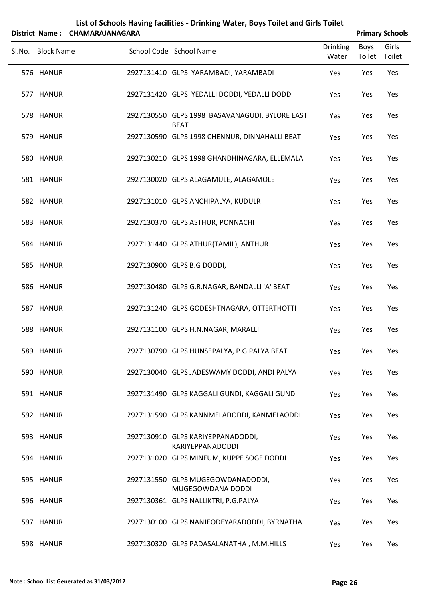|                   | District Name: CHAMARAJANAGARA |                                                               |                          |                | <b>Primary Schools</b> |
|-------------------|--------------------------------|---------------------------------------------------------------|--------------------------|----------------|------------------------|
| Sl.No. Block Name |                                | School Code School Name                                       | <b>Drinking</b><br>Water | Boys<br>Toilet | Girls<br>Toilet        |
| 576 HANUR         |                                | 2927131410 GLPS YARAMBADI, YARAMBADI                          | Yes                      | Yes            | Yes                    |
| 577 HANUR         |                                | 2927131420 GLPS YEDALLI DODDI, YEDALLI DODDI                  | Yes                      | Yes            | Yes                    |
| 578 HANUR         |                                | 2927130550 GLPS 1998 BASAVANAGUDI, BYLORE EAST<br><b>BEAT</b> | Yes                      | Yes            | Yes                    |
| 579 HANUR         |                                | 2927130590 GLPS 1998 CHENNUR, DINNAHALLI BEAT                 | Yes                      | Yes            | Yes                    |
| 580 HANUR         |                                | 2927130210 GLPS 1998 GHANDHINAGARA, ELLEMALA                  | Yes                      | Yes            | Yes                    |
| 581 HANUR         |                                | 2927130020 GLPS ALAGAMULE, ALAGAMOLE                          | Yes                      | Yes            | Yes                    |
| 582 HANUR         |                                | 2927131010 GLPS ANCHIPALYA, KUDULR                            | Yes                      | Yes            | Yes                    |
| 583 HANUR         |                                | 2927130370 GLPS ASTHUR, PONNACHI                              | Yes                      | Yes            | Yes                    |
| 584 HANUR         |                                | 2927131440 GLPS ATHUR(TAMIL), ANTHUR                          | Yes                      | Yes            | Yes                    |
| 585 HANUR         |                                | 2927130900 GLPS B.G DODDI,                                    | Yes                      | Yes            | Yes                    |
| 586 HANUR         |                                | 2927130480 GLPS G.R.NAGAR, BANDALLI 'A' BEAT                  | Yes                      | Yes            | Yes                    |
| 587 HANUR         |                                | 2927131240 GLPS GODESHTNAGARA, OTTERTHOTTI                    | Yes                      | Yes            | Yes                    |
| 588 HANUR         |                                | 2927131100 GLPS H.N.NAGAR, MARALLI                            | Yes                      | Yes            | Yes                    |
| 589 HANUR         |                                | 2927130790 GLPS HUNSEPALYA, P.G.PALYA BEAT                    | Yes                      | Yes            | Yes                    |
| 590 HANUR         |                                | 2927130040 GLPS JADESWAMY DODDI, ANDI PALYA                   | Yes                      | Yes            | Yes                    |
| 591 HANUR         |                                | 2927131490 GLPS KAGGALI GUNDI, KAGGALI GUNDI                  | Yes                      | Yes            | Yes                    |
| 592 HANUR         |                                | 2927131590 GLPS KANNMELADODDI, KANMELAODDI                    | Yes                      | Yes            | Yes                    |
| 593 HANUR         |                                | 2927130910 GLPS KARIYEPPANADODDI,<br><b>KARIYEPPANADODDI</b>  | Yes                      | Yes            | Yes                    |
| 594 HANUR         |                                | 2927131020 GLPS MINEUM, KUPPE SOGE DODDI                      | Yes                      | Yes            | Yes                    |
| 595 HANUR         |                                | 2927131550 GLPS MUGEGOWDANADODDI,<br>MUGEGOWDANA DODDI        | Yes                      | Yes            | Yes                    |
| 596 HANUR         |                                | 2927130361 GLPS NALLIKTRI, P.G.PALYA                          | Yes                      | Yes            | Yes                    |
| 597 HANUR         |                                | 2927130100 GLPS NANJEODEYARADODDI, BYRNATHA                   | Yes                      | Yes            | Yes                    |
| 598 HANUR         |                                | 2927130320 GLPS PADASALANATHA, M.M.HILLS                      | Yes                      | Yes            | Yes                    |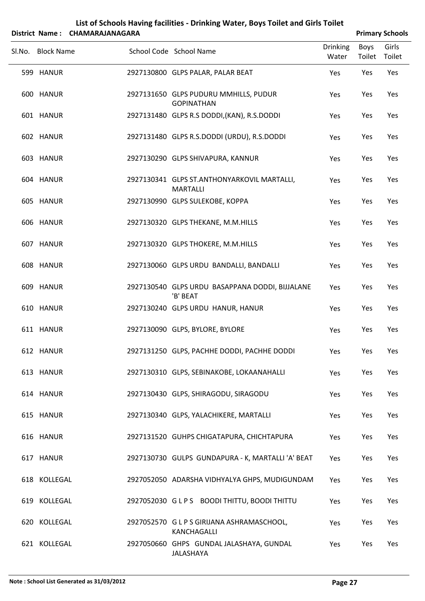| List of Schools Having facilities - Drinking Water, Boys Toilet and Girls Toilet |
|----------------------------------------------------------------------------------|
| ------------------                                                               |

|        | District Name: CHAMARAJANAGARA |                                                                |                          |                | <b>Primary Schools</b> |
|--------|--------------------------------|----------------------------------------------------------------|--------------------------|----------------|------------------------|
| Sl.No. | <b>Block Name</b>              | School Code School Name                                        | <b>Drinking</b><br>Water | Boys<br>Toilet | Girls<br>Toilet        |
|        | 599 HANUR                      | 2927130800 GLPS PALAR, PALAR BEAT                              | Yes                      | Yes            | Yes                    |
|        | 600 HANUR                      | 2927131650 GLPS PUDURU MMHILLS, PUDUR<br><b>GOPINATHAN</b>     | Yes                      | Yes            | Yes                    |
|        | 601 HANUR                      | 2927131480 GLPS R.S DODDI, (KAN), R.S.DODDI                    | Yes                      | Yes            | Yes                    |
|        | 602 HANUR                      | 2927131480 GLPS R.S.DODDI (URDU), R.S.DODDI                    | Yes                      | Yes            | Yes                    |
|        | 603 HANUR                      | 2927130290 GLPS SHIVAPURA, KANNUR                              | Yes                      | Yes            | Yes                    |
|        | 604 HANUR                      | 2927130341 GLPS ST.ANTHONYARKOVIL MARTALLI,<br><b>MARTALLI</b> | Yes                      | Yes            | Yes                    |
|        | 605 HANUR                      | 2927130990 GLPS SULEKOBE, KOPPA                                | Yes                      | Yes            | Yes                    |
|        | 606 HANUR                      | 2927130320 GLPS THEKANE, M.M.HILLS                             | Yes                      | Yes            | Yes                    |
|        | 607 HANUR                      | 2927130320 GLPS THOKERE, M.M.HILLS                             | Yes                      | Yes            | Yes                    |
|        | 608 HANUR                      | 2927130060 GLPS URDU BANDALLI, BANDALLI                        | Yes                      | Yes            | Yes                    |
|        | 609 HANUR                      | 2927130540 GLPS URDU BASAPPANA DODDI, BIJJALANE<br>'B' BEAT    | Yes                      | Yes            | Yes                    |
|        | 610 HANUR                      | 2927130240 GLPS URDU HANUR, HANUR                              | Yes                      | Yes            | Yes                    |
|        | 611 HANUR                      | 2927130090 GLPS, BYLORE, BYLORE                                | Yes                      | Yes            | Yes                    |
|        | 612 HANUR                      | 2927131250 GLPS, PACHHE DODDI, PACHHE DODDI                    | Yes                      | Yes            | Yes                    |
|        | 613 HANUR                      | 2927130310 GLPS, SEBINAKOBE, LOKAANAHALLI                      | Yes                      | Yes            | Yes                    |
|        | 614 HANUR                      | 2927130430 GLPS, SHIRAGODU, SIRAGODU                           | Yes                      | Yes            | Yes                    |
|        | 615 HANUR                      | 2927130340 GLPS, YALACHIKERE, MARTALLI                         | Yes                      | Yes            | Yes                    |
|        | 616 HANUR                      | 2927131520 GUHPS CHIGATAPURA, CHICHTAPURA                      | Yes                      | Yes            | Yes                    |
|        | 617 HANUR                      | 2927130730 GULPS GUNDAPURA - K, MARTALLI 'A' BEAT              | Yes                      | Yes            | Yes                    |
|        | 618 KOLLEGAL                   | 2927052050 ADARSHA VIDHYALYA GHPS, MUDIGUNDAM                  | Yes                      | Yes            | Yes                    |
|        | 619 KOLLEGAL                   | 2927052030 GLPS BOODI THITTU, BOODI THITTU                     | Yes                      | Yes            | Yes                    |
|        | 620 KOLLEGAL                   | 2927052570 G L P S GIRIJANA ASHRAMASCHOOL,<br>KANCHAGALLI      | Yes                      | Yes            | Yes                    |
|        | 621 KOLLEGAL                   | 2927050660 GHPS GUNDAL JALASHAYA, GUNDAL<br>JALASHAYA          | Yes                      | Yes            | Yes                    |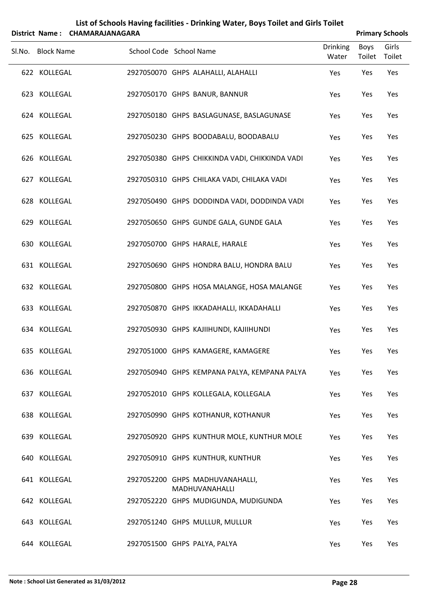|        |                   | District Name: CHAMARAJANAGARA |                                                   |                          |                       | <b>Primary Schools</b> |
|--------|-------------------|--------------------------------|---------------------------------------------------|--------------------------|-----------------------|------------------------|
| Sl.No. | <b>Block Name</b> |                                | School Code School Name                           | <b>Drinking</b><br>Water | <b>Boys</b><br>Toilet | Girls<br>Toilet        |
|        | 622 KOLLEGAL      |                                | 2927050070 GHPS ALAHALLI, ALAHALLI                | Yes                      | Yes                   | Yes                    |
|        | 623 KOLLEGAL      |                                | 2927050170 GHPS BANUR, BANNUR                     | Yes                      | Yes                   | Yes                    |
|        | 624 KOLLEGAL      |                                | 2927050180 GHPS BASLAGUNASE, BASLAGUNASE          | Yes                      | Yes                   | Yes                    |
|        | 625 KOLLEGAL      |                                | 2927050230 GHPS BOODABALU, BOODABALU              | Yes                      | Yes                   | Yes                    |
|        | 626 KOLLEGAL      |                                | 2927050380 GHPS CHIKKINDA VADI, CHIKKINDA VADI    | Yes                      | Yes                   | Yes                    |
|        | 627 KOLLEGAL      |                                | 2927050310 GHPS CHILAKA VADI, CHILAKA VADI        | Yes                      | Yes                   | Yes                    |
|        | 628 KOLLEGAL      |                                | 2927050490 GHPS DODDINDA VADI, DODDINDA VADI      | Yes                      | Yes                   | Yes                    |
|        | 629 KOLLEGAL      |                                | 2927050650 GHPS GUNDE GALA, GUNDE GALA            | Yes                      | Yes                   | Yes                    |
|        | 630 KOLLEGAL      |                                | 2927050700 GHPS HARALE, HARALE                    | Yes                      | Yes                   | Yes                    |
|        | 631 KOLLEGAL      |                                | 2927050690 GHPS HONDRA BALU, HONDRA BALU          | Yes                      | Yes                   | Yes                    |
|        | 632 KOLLEGAL      |                                | 2927050800 GHPS HOSA MALANGE, HOSA MALANGE        | Yes                      | Yes                   | Yes                    |
|        | 633 KOLLEGAL      |                                | 2927050870 GHPS IKKADAHALLI, IKKADAHALLI          | Yes                      | Yes                   | Yes                    |
|        | 634 KOLLEGAL      |                                | 2927050930 GHPS KAJIIHUNDI, KAJIIHUNDI            | Yes                      | Yes                   | Yes                    |
|        | 635 KOLLEGAL      |                                | 2927051000 GHPS KAMAGERE, KAMAGERE                | Yes                      | Yes                   | Yes                    |
|        | 636 KOLLEGAL      |                                | 2927050940 GHPS KEMPANA PALYA, KEMPANA PALYA      | Yes                      | Yes                   | Yes                    |
|        | 637 KOLLEGAL      |                                | 2927052010 GHPS KOLLEGALA, KOLLEGALA              | Yes                      | Yes                   | Yes                    |
|        | 638 KOLLEGAL      |                                | 2927050990 GHPS KOTHANUR, KOTHANUR                | Yes                      | Yes                   | Yes                    |
|        | 639 KOLLEGAL      |                                | 2927050920 GHPS KUNTHUR MOLE, KUNTHUR MOLE        | Yes                      | Yes                   | Yes                    |
|        | 640 KOLLEGAL      |                                | 2927050910 GHPS KUNTHUR, KUNTHUR                  | Yes                      | Yes                   | Yes                    |
|        | 641 KOLLEGAL      |                                | 2927052200 GHPS MADHUVANAHALLI,<br>MADHUVANAHALLI | Yes                      | Yes                   | Yes                    |
|        | 642 KOLLEGAL      |                                | 2927052220 GHPS MUDIGUNDA, MUDIGUNDA              | Yes                      | Yes                   | Yes                    |
|        | 643 KOLLEGAL      |                                | 2927051240 GHPS MULLUR, MULLUR                    | Yes                      | Yes                   | Yes                    |
|        | 644 KOLLEGAL      |                                | 2927051500 GHPS PALYA, PALYA                      | Yes                      | Yes                   | Yes                    |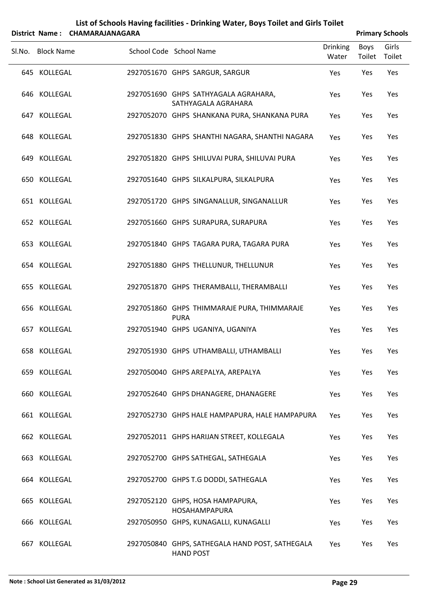|                   | District Name: CHAMARAJANAGARA |                                                             |                          |                       | <b>Primary Schools</b> |
|-------------------|--------------------------------|-------------------------------------------------------------|--------------------------|-----------------------|------------------------|
| Sl.No. Block Name |                                | School Code School Name                                     | <b>Drinking</b><br>Water | <b>Boys</b><br>Toilet | Girls<br>Toilet        |
| 645 KOLLEGAL      |                                | 2927051670 GHPS SARGUR, SARGUR                              | Yes                      | Yes                   | Yes                    |
| 646 KOLLEGAL      |                                | 2927051690 GHPS SATHYAGALA AGRAHARA,<br>SATHYAGALA AGRAHARA | Yes                      | Yes                   | Yes                    |
| 647 KOLLEGAL      |                                | 2927052070 GHPS SHANKANA PURA, SHANKANA PURA                | Yes                      | Yes                   | Yes                    |
| 648 KOLLEGAL      |                                | 2927051830 GHPS SHANTHI NAGARA, SHANTHI NAGARA              | Yes                      | Yes                   | Yes                    |
| 649 KOLLEGAL      |                                | 2927051820 GHPS SHILUVAI PURA, SHILUVAI PURA                | Yes                      | Yes                   | Yes                    |
| 650 KOLLEGAL      |                                | 2927051640 GHPS SILKALPURA, SILKALPURA                      | Yes                      | Yes                   | Yes                    |
| 651 KOLLEGAL      |                                | 2927051720 GHPS SINGANALLUR, SINGANALLUR                    | Yes                      | Yes                   | Yes                    |
| 652 KOLLEGAL      |                                | 2927051660 GHPS SURAPURA, SURAPURA                          | Yes                      | Yes                   | Yes                    |
| 653 KOLLEGAL      |                                | 2927051840 GHPS TAGARA PURA, TAGARA PURA                    | Yes                      | Yes                   | Yes                    |
| 654 KOLLEGAL      |                                | 2927051880 GHPS THELLUNUR, THELLUNUR                        | Yes                      | Yes                   | Yes                    |
| 655 KOLLEGAL      |                                | 2927051870 GHPS THERAMBALLI, THERAMBALLI                    | Yes                      | Yes                   | Yes                    |
| 656 KOLLEGAL      |                                | 2927051860 GHPS THIMMARAJE PURA, THIMMARAJE<br><b>PURA</b>  | Yes                      | Yes                   | Yes                    |
| 657 KOLLEGAL      |                                | 2927051940 GHPS UGANIYA, UGANIYA                            | Yes                      | Yes                   | Yes                    |
| 658 KOLLEGAL      |                                | 2927051930 GHPS UTHAMBALLI, UTHAMBALLI                      | Yes                      | Yes                   | Yes                    |
| 659 KOLLEGAL      |                                | 2927050040 GHPS AREPALYA, AREPALYA                          | Yes                      | Yes                   | Yes                    |
| 660 KOLLEGAL      |                                | 2927052640 GHPS DHANAGERE, DHANAGERE                        | Yes                      | Yes                   | Yes                    |
| 661 KOLLEGAL      |                                | 2927052730 GHPS HALE HAMPAPURA, HALE HAMPAPURA              | Yes                      | Yes                   | Yes                    |
| 662 KOLLEGAL      |                                | 2927052011 GHPS HARIJAN STREET, KOLLEGALA                   | Yes                      | Yes                   | Yes                    |
| 663 KOLLEGAL      |                                | 2927052700 GHPS SATHEGAL, SATHEGALA                         | Yes                      | Yes                   | Yes                    |

KOLLEGAL 2927052700 GHPS T.G DODDI, SATHEGALA Yes Yes Yes

KOLLEGAL 2927052120 GHPS, HOSA HAMPAPURA, Yes Yes Yes HOSAHAMPAPURA

KOLLEGAL 2927050950 GHPS, KUNAGALLI, KUNAGALLI Yes Yes Yes

KOLLEGAL 2927050840 GHPS, SATHEGALA HAND POST, SATHEGALA Yes Yes Yes

HAND POST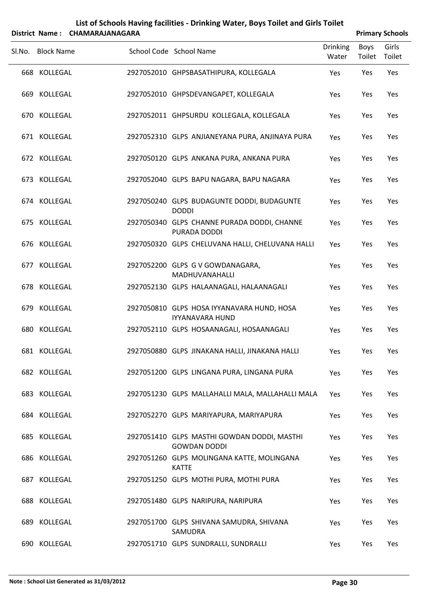| Boys<br>Toilet<br>Yes<br>Yes<br>Yes<br>Yes<br>Yes | Girls<br>Toilet<br>Yes<br>Yes<br>Yes<br>Yes                                                                         |
|---------------------------------------------------|---------------------------------------------------------------------------------------------------------------------|
|                                                   |                                                                                                                     |
|                                                   |                                                                                                                     |
|                                                   |                                                                                                                     |
|                                                   |                                                                                                                     |
|                                                   |                                                                                                                     |
|                                                   | Yes                                                                                                                 |
|                                                   | Yes                                                                                                                 |
|                                                   | Yes                                                                                                                 |
|                                                   | Yes                                                                                                                 |
|                                                   | Yes                                                                                                                 |
|                                                   | Yes                                                                                                                 |
|                                                   | Yes                                                                                                                 |
|                                                   | Yes                                                                                                                 |
|                                                   | Yes                                                                                                                 |
|                                                   | Yes                                                                                                                 |
|                                                   | Yes                                                                                                                 |
|                                                   | Yes                                                                                                                 |
|                                                   | Yes                                                                                                                 |
|                                                   | Yes                                                                                                                 |
|                                                   | Yes                                                                                                                 |
|                                                   | Yes                                                                                                                 |
|                                                   | Yes                                                                                                                 |
|                                                   | Yes                                                                                                                 |
|                                                   | Yes<br>Yes<br>Yes<br>Yes<br>Yes<br>Yes<br>Yes<br>Yes<br>Yes<br>Yes<br>Yes<br>Yes<br>Yes<br>Yes<br>Yes<br>Yes<br>Yes |

690 KOLLEGAL 2927051710 GLPS SUNDRALLI, SUNDRALLI Yes Yes Yes

### **List of Schools Having facilities ‐ Drinking Water, Boys Toilet and Girls Toilet District Name : CHAMARAJANAGARA Primary Schools**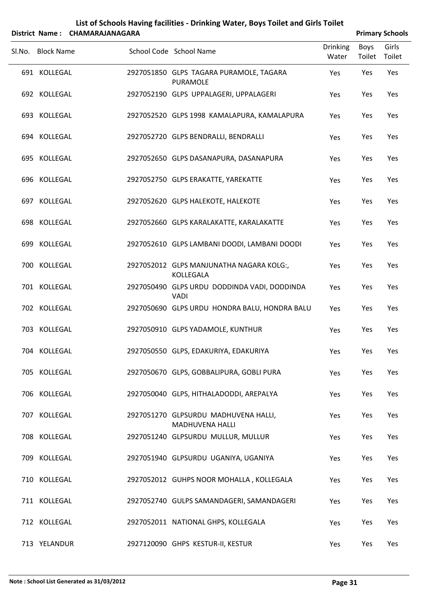|     | Sl.No. Block Name | School Code School Name                                        | <b>Drinking</b><br>Water | Boys<br>Toilet Toilet | Girls |
|-----|-------------------|----------------------------------------------------------------|--------------------------|-----------------------|-------|
|     | 691 KOLLEGAL      | 2927051850 GLPS TAGARA PURAMOLE, TAGARA<br><b>PURAMOLE</b>     | Yes                      | Yes                   | Yes   |
|     | 692 KOLLEGAL      | 2927052190 GLPS UPPALAGERI, UPPALAGERI                         | Yes                      | Yes                   | Yes   |
|     | 693 KOLLEGAL      | 2927052520 GLPS 1998 KAMALAPURA, KAMALAPURA                    | Yes                      | Yes                   | Yes   |
|     | 694 KOLLEGAL      | 2927052720 GLPS BENDRALLI, BENDRALLI                           | Yes                      | Yes                   | Yes   |
|     | 695 KOLLEGAL      | 2927052650 GLPS DASANAPURA, DASANAPURA                         | Yes                      | Yes                   | Yes   |
|     | 696 KOLLEGAL      | 2927052750 GLPS ERAKATTE, YAREKATTE                            | Yes                      | Yes                   | Yes   |
|     | 697 KOLLEGAL      | 2927052620 GLPS HALEKOTE, HALEKOTE                             | Yes                      | Yes                   | Yes   |
|     | 698 KOLLEGAL      | 2927052660 GLPS KARALAKATTE, KARALAKATTE                       | Yes                      | Yes                   | Yes   |
|     | 699 KOLLEGAL      | 2927052610 GLPS LAMBANI DOODI, LAMBANI DOODI                   | Yes                      | Yes                   | Yes   |
|     | 700 KOLLEGAL      | 2927052012 GLPS MANJUNATHA NAGARA KOLG:,<br>KOLLEGALA          | Yes                      | Yes                   | Yes   |
|     | 701 KOLLEGAL      | 2927050490 GLPS URDU DODDINDA VADI, DODDINDA<br><b>VADI</b>    | Yes                      | Yes                   | Yes   |
|     | 702 KOLLEGAL      | 2927050690 GLPS URDU HONDRA BALU, HONDRA BALU                  | Yes                      | Yes                   | Yes   |
|     | 703 KOLLEGAL      | 2927050910 GLPS YADAMOLE, KUNTHUR                              | Yes                      | Yes                   | Yes   |
|     | 704 KOLLEGAL      | 2927050550 GLPS, EDAKURIYA, EDAKURIYA                          | Yes                      | Yes                   | Yes   |
|     | 705 KOLLEGAL      | 2927050670 GLPS, GOBBALIPURA, GOBLI PURA                       | Yes                      | Yes                   | Yes   |
|     | 706 KOLLEGAL      | 2927050040 GLPS, HITHALADODDI, AREPALYA                        | Yes                      | Yes                   | Yes   |
|     | 707 KOLLEGAL      | 2927051270 GLPSURDU MADHUVENA HALLI,<br><b>MADHUVENA HALLI</b> | Yes                      | Yes                   | Yes   |
|     | 708 KOLLEGAL      | 2927051240 GLPSURDU MULLUR, MULLUR                             | Yes                      | Yes                   | Yes   |
|     | 709 KOLLEGAL      | 2927051940 GLPSURDU UGANIYA, UGANIYA                           | Yes                      | Yes                   | Yes   |
| 710 | KOLLEGAL          | 2927052012 GUHPS NOOR MOHALLA, KOLLEGALA                       | Yes                      | Yes                   | Yes   |
|     | 711 KOLLEGAL      | 2927052740 GULPS SAMANDAGERI, SAMANDAGERI                      | Yes                      | Yes                   | Yes   |
|     | 712 KOLLEGAL      | 2927052011 NATIONAL GHPS, KOLLEGALA                            | Yes                      | Yes                   | Yes   |

713 YELANDUR 2927120090 GHPS KESTUR-II, KESTUR TERRET WAS YES YES YES

### **List of Schools Having facilities ‐ Drinking Water, Boys Toilet and Girls Toilet District Name: CHAMARAJANAGARA Primary** Schools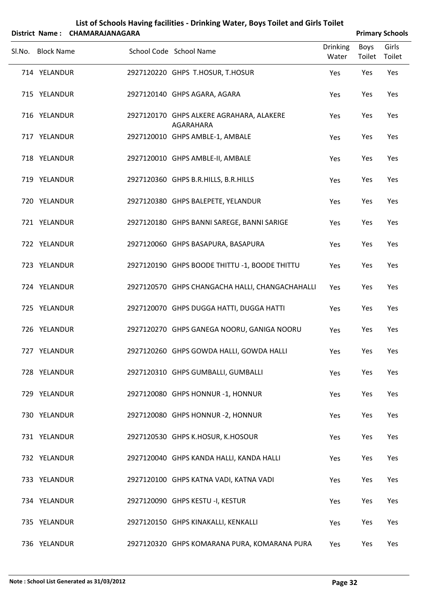|        |                   | District Name: CHAMARAJANAGARA |                                                       |                          |                       | <b>Primary Schools</b> |
|--------|-------------------|--------------------------------|-------------------------------------------------------|--------------------------|-----------------------|------------------------|
| Sl.No. | <b>Block Name</b> |                                | School Code School Name                               | <b>Drinking</b><br>Water | <b>Boys</b><br>Toilet | Girls<br>Toilet        |
|        | 714 YELANDUR      |                                | 2927120220 GHPS T.HOSUR, T.HOSUR                      | Yes                      | Yes                   | Yes                    |
|        | 715 YELANDUR      |                                | 2927120140 GHPS AGARA, AGARA                          | Yes                      | Yes                   | Yes                    |
|        | 716 YELANDUR      |                                | 2927120170 GHPS ALKERE AGRAHARA, ALAKERE<br>AGARAHARA | Yes                      | Yes                   | Yes                    |
|        | 717 YELANDUR      |                                | 2927120010 GHPS AMBLE-1, AMBALE                       | Yes                      | Yes                   | Yes                    |
|        | 718 YELANDUR      |                                | 2927120010 GHPS AMBLE-II, AMBALE                      | Yes                      | Yes                   | Yes                    |
|        | 719 YELANDUR      |                                | 2927120360 GHPS B.R.HILLS, B.R.HILLS                  | Yes                      | Yes                   | Yes                    |
|        | 720 YELANDUR      |                                | 2927120380 GHPS BALEPETE, YELANDUR                    | Yes                      | Yes                   | Yes                    |
|        | 721 YELANDUR      |                                | 2927120180 GHPS BANNI SAREGE, BANNI SARIGE            | Yes                      | Yes                   | Yes                    |
|        | 722 YELANDUR      |                                | 2927120060 GHPS BASAPURA, BASAPURA                    | Yes                      | Yes                   | Yes                    |
|        | 723 YELANDUR      |                                | 2927120190 GHPS BOODE THITTU -1, BOODE THITTU         | Yes                      | Yes                   | Yes                    |
|        | 724 YELANDUR      |                                | 2927120570 GHPS CHANGACHA HALLI, CHANGACHAHALLI       | Yes                      | Yes                   | Yes                    |
|        | 725 YELANDUR      |                                | 2927120070 GHPS DUGGA HATTI, DUGGA HATTI              | Yes                      | Yes                   | Yes                    |
|        | 726 YELANDUR      |                                | 2927120270 GHPS GANEGA NOORU, GANIGA NOORU            | Yes                      | Yes                   | Yes                    |
|        | 727 YELANDUR      |                                | 2927120260 GHPS GOWDA HALLI, GOWDA HALLI              | Yes                      | Yes                   | Yes                    |
|        | 728 YELANDUR      |                                | 2927120310 GHPS GUMBALLI, GUMBALLI                    | Yes                      | Yes                   | Yes                    |
|        | 729 YELANDUR      |                                | 2927120080 GHPS HONNUR -1, HONNUR                     | Yes                      | Yes                   | Yes                    |
|        | 730 YELANDUR      |                                | 2927120080 GHPS HONNUR - 2, HONNUR                    | Yes                      | Yes                   | Yes                    |
|        | 731 YELANDUR      |                                | 2927120530 GHPS K.HOSUR, K.HOSOUR                     | Yes                      | Yes                   | Yes                    |
|        | 732 YELANDUR      |                                | 2927120040 GHPS KANDA HALLI, KANDA HALLI              | Yes                      | Yes                   | Yes                    |
|        | 733 YELANDUR      |                                | 2927120100 GHPS KATNA VADI, KATNA VADI                | Yes                      | Yes                   | Yes                    |
|        | 734 YELANDUR      |                                | 2927120090 GHPS KESTU -I, KESTUR                      | Yes                      | Yes                   | Yes                    |
|        | 735 YELANDUR      |                                | 2927120150 GHPS KINAKALLI, KENKALLI                   | Yes                      | Yes                   | Yes                    |
|        | 736 YELANDUR      |                                | 2927120320 GHPS KOMARANA PURA, KOMARANA PURA          | Yes                      | Yes                   | Yes                    |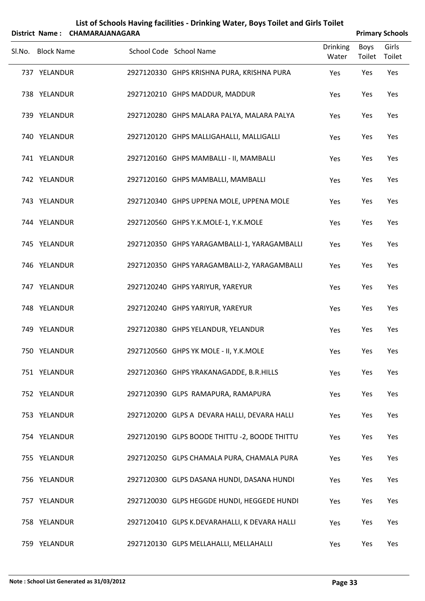|        |                   | District Name: CHAMARAJANAGARA |                                                |                          |                | <b>Primary Schools</b> |
|--------|-------------------|--------------------------------|------------------------------------------------|--------------------------|----------------|------------------------|
| Sl.No. | <b>Block Name</b> |                                | School Code School Name                        | <b>Drinking</b><br>Water | Boys<br>Toilet | Girls<br>Toilet        |
|        | 737 YELANDUR      |                                | 2927120330 GHPS KRISHNA PURA, KRISHNA PURA     | Yes                      | Yes            | Yes                    |
|        | 738 YELANDUR      |                                | 2927120210 GHPS MADDUR, MADDUR                 | Yes                      | Yes            | Yes                    |
|        | 739 YELANDUR      |                                | 2927120280 GHPS MALARA PALYA, MALARA PALYA     | Yes                      | Yes            | Yes                    |
|        | 740 YELANDUR      |                                | 2927120120 GHPS MALLIGAHALLI, MALLIGALLI       | Yes                      | Yes            | Yes                    |
|        | 741 YELANDUR      |                                | 2927120160 GHPS MAMBALLI - II, MAMBALLI        | Yes                      | Yes            | Yes                    |
|        | 742 YELANDUR      |                                | 2927120160 GHPS MAMBALLI, MAMBALLI             | Yes                      | Yes            | Yes                    |
|        | 743 YELANDUR      |                                | 2927120340 GHPS UPPENA MOLE, UPPENA MOLE       | Yes                      | Yes            | Yes                    |
|        | 744 YELANDUR      |                                | 2927120560 GHPS Y.K.MOLE-1, Y.K.MOLE           | Yes                      | Yes            | Yes                    |
|        | 745 YELANDUR      |                                | 2927120350 GHPS YARAGAMBALLI-1, YARAGAMBALLI   | Yes                      | Yes            | Yes                    |
|        | 746 YELANDUR      |                                | 2927120350 GHPS YARAGAMBALLI-2, YARAGAMBALLI   | Yes                      | Yes            | Yes                    |
|        | 747 YELANDUR      |                                | 2927120240 GHPS YARIYUR, YAREYUR               | Yes                      | Yes            | Yes                    |
|        | 748 YELANDUR      |                                | 2927120240 GHPS YARIYUR, YAREYUR               | Yes                      | Yes            | Yes                    |
|        | 749 YELANDUR      |                                | 2927120380 GHPS YELANDUR, YELANDUR             | Yes                      | Yes            | Yes                    |
|        | 750 YELANDUR      |                                | 2927120560 GHPS YK MOLE - II, Y.K.MOLE         | Yes                      | Yes            | Yes                    |
|        | 751 YELANDUR      |                                | 2927120360 GHPS YRAKANAGADDE, B.R.HILLS        | Yes                      | Yes            | Yes                    |
|        | 752 YELANDUR      |                                | 2927120390 GLPS RAMAPURA, RAMAPURA             | Yes                      | Yes            | Yes                    |
|        | 753 YELANDUR      |                                | 2927120200 GLPS A DEVARA HALLI, DEVARA HALLI   | Yes                      | Yes            | Yes                    |
|        | 754 YELANDUR      |                                | 2927120190 GLPS BOODE THITTU - 2, BOODE THITTU | Yes                      | Yes            | Yes                    |
|        | 755 YELANDUR      |                                | 2927120250 GLPS CHAMALA PURA, CHAMALA PURA     | Yes                      | Yes            | Yes                    |
|        | 756 YELANDUR      |                                | 2927120300 GLPS DASANA HUNDI, DASANA HUNDI     | Yes                      | Yes            | Yes                    |
|        | 757 YELANDUR      |                                | 2927120030 GLPS HEGGDE HUNDI, HEGGEDE HUNDI    | Yes                      | Yes            | Yes                    |
|        | 758 YELANDUR      |                                | 2927120410 GLPS K.DEVARAHALLI, K DEVARA HALLI  | Yes                      | Yes            | Yes                    |
|        | 759 YELANDUR      |                                | 2927120130 GLPS MELLAHALLI, MELLAHALLI         | Yes                      | Yes            | Yes                    |